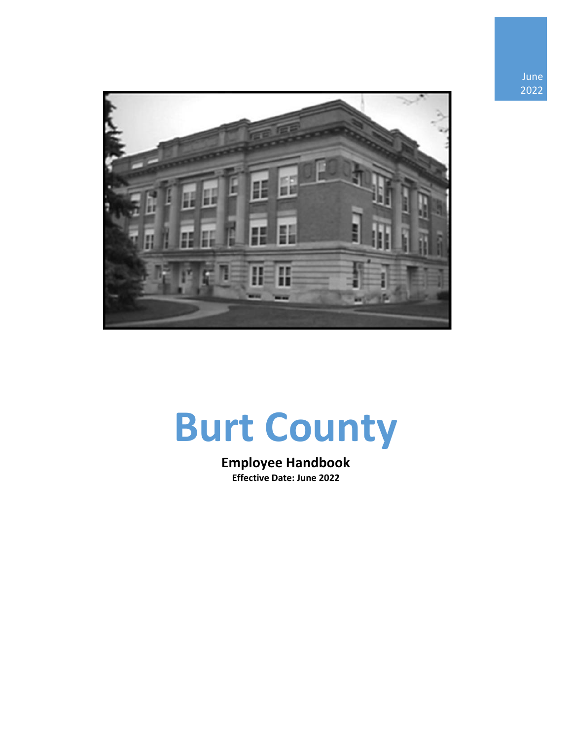



# **Burt County**

**Employee Handbook Effective Date: June 2022**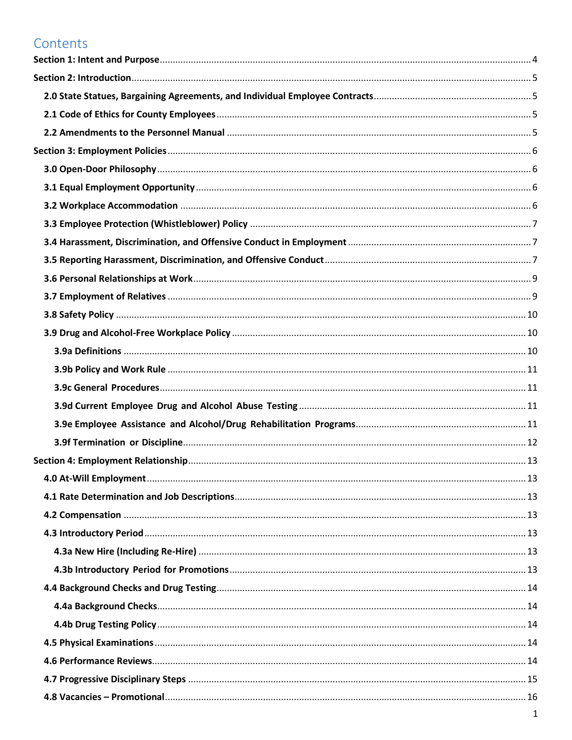## Contents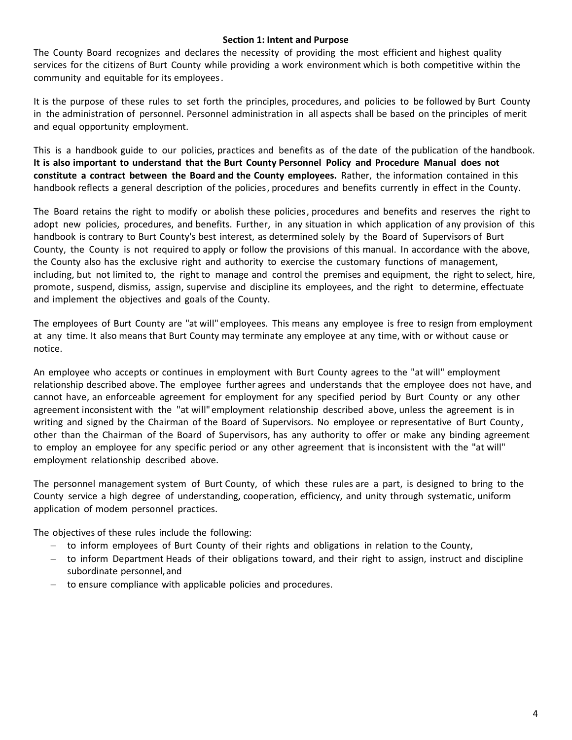#### **Section 1: Intent and Purpose**

<span id="page-4-0"></span>The County Board recognizes and declares the necessity of providing the most efficient and highest quality services for the citizens of Burt County while providing a work environment which is both competitive within the community and equitable for its employees.

It is the purpose of these rules to set forth the principles, procedures, and policies to be followed by Burt County in the administration of personnel. Personnel administration in all aspects shall be based on the principles of merit and equal opportunity employment.

This is a handbook guide to our policies, practices and benefits as of the date of the publication of the handbook. **It is also important to understand that the Burt County Personnel Policy and Procedure Manual does not constitute a contract between the Board and the County employees.** Rather, the information contained in this handbook reflects a general description of the policies, procedures and benefits currently in effect in the County.

The Board retains the right to modify or abolish these policies, procedures and benefits and reserves the right to adopt new policies, procedures, and benefits. Further, in any situation in which application of any provision of this handbook is contrary to Burt County's best interest, as determined solely by the Board of Supervisors of Burt County, the County is not required to apply or follow the provisions of this manual. In accordance with the above, the County also has the exclusive right and authority to exercise the customary functions of management, including, but not limited to, the right to manage and control the premises and equipment, the right to select, hire, promote, suspend, dismiss, assign, supervise and discipline its employees, and the right to determine, effectuate and implement the objectives and goals of the County.

The employees of Burt County are "at will" employees. This means any employee is free to resign from employment at any time. It also means that Burt County may terminate any employee at any time, with or without cause or notice.

An employee who accepts or continues in employment with Burt County agrees to the "at will" employment relationship described above. The employee further agrees and understands that the employee does not have, and cannot have, an enforceable agreement for employment for any specified period by Burt County or any other agreement inconsistent with the "at will"employment relationship described above, unless the agreement is in writing and signed by the Chairman of the Board of Supervisors. No employee or representative of Burt County, other than the Chairman of the Board of Supervisors, has any authority to offer or make any binding agreement to employ an employee for any specific period or any other agreement that is inconsistent with the "at will" employment relationship described above.

The personnel management system of Burt County, of which these rules are a part, is designed to bring to the County service a high degree of understanding, cooperation, efficiency, and unity through systematic, uniform application of modem personnel practices.

The objectives of these rules include the following:

- − to inform employees of Burt County of their rights and obligations in relation to the County,
- − to inform Department Heads of their obligations toward, and their right to assign, instruct and discipline subordinate personnel,and
- − to ensure compliance with applicable policies and procedures.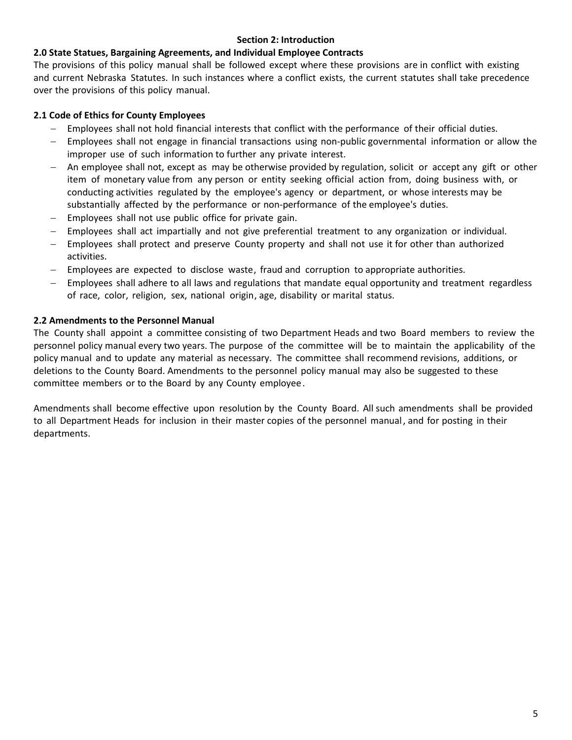#### **Section 2: Introduction**

## <span id="page-5-1"></span><span id="page-5-0"></span>**2.0 State Statues, Bargaining Agreements, and Individual Employee Contracts**

The provisions of this policy manual shall be followed except where these provisions are in conflict with existing and current Nebraska Statutes. In such instances where a conflict exists, the current statutes shall take precedence over the provisions of this policy manual.

## <span id="page-5-2"></span>**2.1 Code of Ethics for County Employees**

- Employees shall not hold financial interests that conflict with the performance of their official duties.
- − Employees shall not engage in financial transactions using non-public governmental information or allow the improper use of such information to further any private interest.
- − An employee shall not, except as may be otherwise provided by regulation, solicit or accept any gift or other item of monetary value from any person or entity seeking official action from, doing business with, or conducting activities regulated by the employee's agency or department, or whose interests may be substantially affected by the performance or non-performance of the employee's duties.
- Employees shall not use public office for private gain.
- Employees shall act impartially and not give preferential treatment to any organization or individual.
- Employees shall protect and preserve County property and shall not use it for other than authorized activities.
- Employees are expected to disclose waste, fraud and corruption to appropriate authorities.
- Employees shall adhere to all laws and regulations that mandate equal opportunity and treatment regardless of race, color, religion, sex, national origin, age, disability or marital status.

## <span id="page-5-3"></span>**2.2 Amendments to the Personnel Manual**

The County shall appoint a committee consisting of two Department Heads and two Board members to review the personnel policy manual every two years. The purpose of the committee will be to maintain the applicability of the policy manual and to update any material as necessary. The committee shall recommend revisions, additions, or deletions to the County Board. Amendments to the personnel policy manual may also be suggested to these committee members or to the Board by any County employee.

Amendments shall become effective upon resolution by the County Board. All such amendments shall be provided to all Department Heads for inclusion in their master copies of the personnel manual, and for posting in their departments.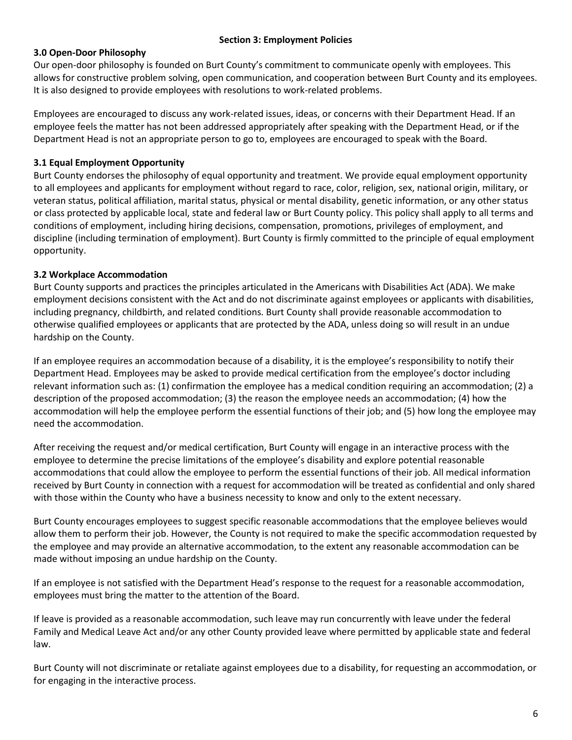#### **Section 3: Employment Policies**

## <span id="page-6-1"></span><span id="page-6-0"></span>**3.0 Open-Door Philosophy**

Our open-door philosophy is founded on Burt County's commitment to communicate openly with employees. This allows for constructive problem solving, open communication, and cooperation between Burt County and its employees. It is also designed to provide employees with resolutions to work-related problems.

Employees are encouraged to discuss any work-related issues, ideas, or concerns with their Department Head. If an employee feels the matter has not been addressed appropriately after speaking with the Department Head, or if the Department Head is not an appropriate person to go to, employees are encouraged to speak with the Board.

## <span id="page-6-2"></span>**3.1 Equal Employment Opportunity**

Burt County endorses the philosophy of equal opportunity and treatment. We provide equal employment opportunity to all employees and applicants for employment without regard to race, color, religion, sex, national origin, military, or veteran status, political affiliation, marital status, physical or mental disability, genetic information, or any other status or class protected by applicable local, state and federal law or Burt County policy. This policy shall apply to all terms and conditions of employment, including hiring decisions, compensation, promotions, privileges of employment, and discipline (including termination of employment). Burt County is firmly committed to the principle of equal employment opportunity.

## <span id="page-6-3"></span>**3.2 Workplace Accommodation**

Burt County supports and practices the principles articulated in the Americans with Disabilities Act (ADA). We make employment decisions consistent with the Act and do not discriminate against employees or applicants with disabilities, including pregnancy, childbirth, and related conditions. Burt County shall provide reasonable accommodation to otherwise qualified employees or applicants that are protected by the ADA, unless doing so will result in an undue hardship on the County.

If an employee requires an accommodation because of a disability, it is the employee's responsibility to notify their Department Head. Employees may be asked to provide medical certification from the employee's doctor including relevant information such as: (1) confirmation the employee has a medical condition requiring an accommodation; (2) a description of the proposed accommodation; (3) the reason the employee needs an accommodation; (4) how the accommodation will help the employee perform the essential functions of their job; and (5) how long the employee may need the accommodation.

After receiving the request and/or medical certification, Burt County will engage in an interactive process with the employee to determine the precise limitations of the employee's disability and explore potential reasonable accommodations that could allow the employee to perform the essential functions of their job. All medical information received by Burt County in connection with a request for accommodation will be treated as confidential and only shared with those within the County who have a business necessity to know and only to the extent necessary.

Burt County encourages employees to suggest specific reasonable accommodations that the employee believes would allow them to perform their job. However, the County is not required to make the specific accommodation requested by the employee and may provide an alternative accommodation, to the extent any reasonable accommodation can be made without imposing an undue hardship on the County.

If an employee is not satisfied with the Department Head's response to the request for a reasonable accommodation, employees must bring the matter to the attention of the Board.

If leave is provided as a reasonable accommodation, such leave may run concurrently with leave under the federal Family and Medical Leave Act and/or any other County provided leave where permitted by applicable state and federal law.

Burt County will not discriminate or retaliate against employees due to a disability, for requesting an accommodation, or for engaging in the interactive process.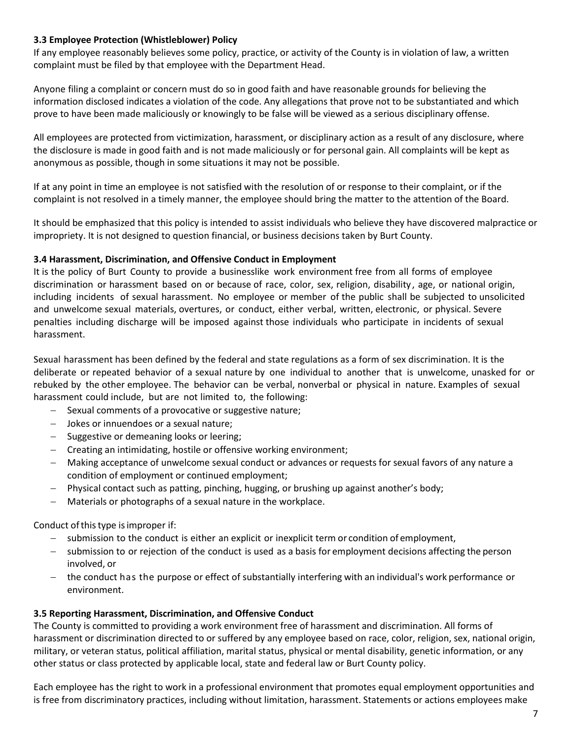#### <span id="page-7-0"></span>**3.3 Employee Protection (Whistleblower) Policy**

If any employee reasonably believes some policy, practice, or activity of the County is in violation of law, a written complaint must be filed by that employee with the Department Head.

Anyone filing a complaint or concern must do so in good faith and have reasonable grounds for believing the information disclosed indicates a violation of the code. Any allegations that prove not to be substantiated and which prove to have been made maliciously or knowingly to be false will be viewed as a serious disciplinary offense.

All employees are protected from victimization, harassment, or disciplinary action as a result of any disclosure, where the disclosure is made in good faith and is not made maliciously or for personal gain. All complaints will be kept as anonymous as possible, though in some situations it may not be possible.

If at any point in time an employee is not satisfied with the resolution of or response to their complaint, or if the complaint is not resolved in a timely manner, the employee should bring the matter to the attention of the Board.

It should be emphasized that this policy is intended to assist individuals who believe they have discovered malpractice or impropriety. It is not designed to question financial, or business decisions taken by Burt County.

#### <span id="page-7-1"></span>**3.4 Harassment, Discrimination, and Offensive Conduct in Employment**

It is the policy of Burt County to provide a businesslike work environment free from all forms of employee discrimination or harassment based on or because of race, color, sex, religion, disability, age, or national origin, including incidents of sexual harassment. No employee or member of the public shall be subjected to unsolicited and unwelcome sexual materials, overtures, or conduct, either verbal, written, electronic, or physical. Severe penalties including discharge will be imposed against those individuals who participate in incidents of sexual harassment.

Sexual harassment has been defined by the federal and state regulations as a form of sex discrimination. It is the deliberate or repeated behavior of a sexual nature by one individual to another that is unwelcome, unasked for or rebuked by the other employee. The behavior can be verbal, nonverbal or physical in nature. Examples of sexual harassment could include, but are not limited to, the following:

- − Sexual comments of a provocative or suggestive nature;
- − Jokes or innuendoes or a sexual nature;
- − Suggestive or demeaning looks or leering;
- − Creating an intimidating, hostile or offensive working environment;
- − Making acceptance of unwelcome sexual conduct or advances or requests for sexual favors of any nature a condition of employment or continued employment;
- Physical contact such as patting, pinching, hugging, or brushing up against another's body;
- − Materials or photographs of a sexual nature in the workplace.

Conduct of this type is improper if:

- submission to the conduct is either an explicit or inexplicit term or condition of employment,
- − submission to or rejection of the conduct is used as a basis for employment decisions affecting the person involved, or
- − the conduct has the purpose or effect of substantially interfering with an individual's work performance or environment.

#### <span id="page-7-2"></span>**3.5 Reporting Harassment, Discrimination, and Offensive Conduct**

The County is committed to providing a work environment free of harassment and discrimination. All forms of harassment or discrimination directed to or suffered by any employee based on race, color, religion, sex, national origin, military, or veteran status, political affiliation, marital status, physical or mental disability, genetic information, or any other status or class protected by applicable local, state and federal law or Burt County policy.

Each employee has the right to work in a professional environment that promotes equal employment opportunities and is free from discriminatory practices, including without limitation, harassment. Statements or actions employees make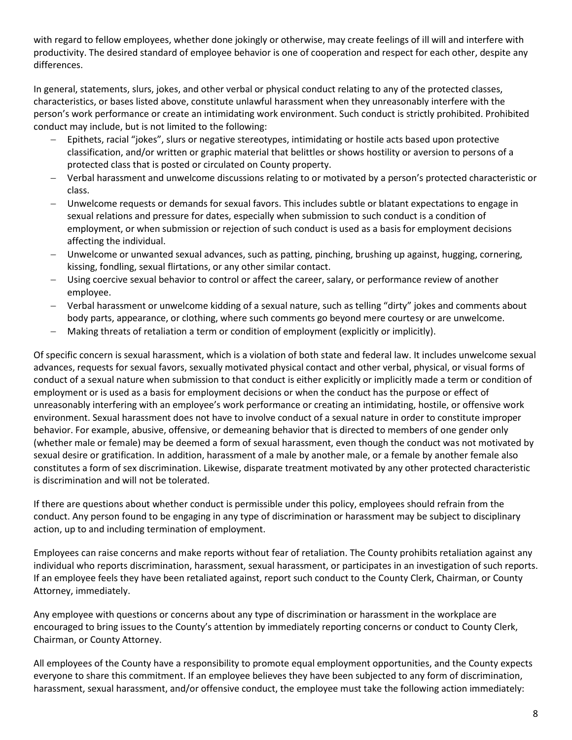with regard to fellow employees, whether done jokingly or otherwise, may create feelings of ill will and interfere with productivity. The desired standard of employee behavior is one of cooperation and respect for each other, despite any differences.

In general, statements, slurs, jokes, and other verbal or physical conduct relating to any of the protected classes, characteristics, or bases listed above, constitute unlawful harassment when they unreasonably interfere with the person's work performance or create an intimidating work environment. Such conduct is strictly prohibited. Prohibited conduct may include, but is not limited to the following:

- − Epithets, racial "jokes", slurs or negative stereotypes, intimidating or hostile acts based upon protective classification, and/or written or graphic material that belittles or shows hostility or aversion to persons of a protected class that is posted or circulated on County property.
- − Verbal harassment and unwelcome discussions relating to or motivated by a person's protected characteristic or class.
- − Unwelcome requests or demands for sexual favors. This includes subtle or blatant expectations to engage in sexual relations and pressure for dates, especially when submission to such conduct is a condition of employment, or when submission or rejection of such conduct is used as a basis for employment decisions affecting the individual.
- − Unwelcome or unwanted sexual advances, such as patting, pinching, brushing up against, hugging, cornering, kissing, fondling, sexual flirtations, or any other similar contact.
- Using coercive sexual behavior to control or affect the career, salary, or performance review of another employee.
- − Verbal harassment or unwelcome kidding of a sexual nature, such as telling "dirty" jokes and comments about body parts, appearance, or clothing, where such comments go beyond mere courtesy or are unwelcome.
- − Making threats of retaliation a term or condition of employment (explicitly or implicitly).

Of specific concern is sexual harassment, which is a violation of both state and federal law. It includes unwelcome sexual advances, requests for sexual favors, sexually motivated physical contact and other verbal, physical, or visual forms of conduct of a sexual nature when submission to that conduct is either explicitly or implicitly made a term or condition of employment or is used as a basis for employment decisions or when the conduct has the purpose or effect of unreasonably interfering with an employee's work performance or creating an intimidating, hostile, or offensive work environment. Sexual harassment does not have to involve conduct of a sexual nature in order to constitute improper behavior. For example, abusive, offensive, or demeaning behavior that is directed to members of one gender only (whether male or female) may be deemed a form of sexual harassment, even though the conduct was not motivated by sexual desire or gratification. In addition, harassment of a male by another male, or a female by another female also constitutes a form of sex discrimination. Likewise, disparate treatment motivated by any other protected characteristic is discrimination and will not be tolerated.

If there are questions about whether conduct is permissible under this policy, employees should refrain from the conduct. Any person found to be engaging in any type of discrimination or harassment may be subject to disciplinary action, up to and including termination of employment.

Employees can raise concerns and make reports without fear of retaliation. The County prohibits retaliation against any individual who reports discrimination, harassment, sexual harassment, or participates in an investigation of such reports. If an employee feels they have been retaliated against, report such conduct to the County Clerk, Chairman, or County Attorney, immediately.

Any employee with questions or concerns about any type of discrimination or harassment in the workplace are encouraged to bring issues to the County's attention by immediately reporting concerns or conduct to County Clerk, Chairman, or County Attorney.

All employees of the County have a responsibility to promote equal employment opportunities, and the County expects everyone to share this commitment. If an employee believes they have been subjected to any form of discrimination, harassment, sexual harassment, and/or offensive conduct, the employee must take the following action immediately: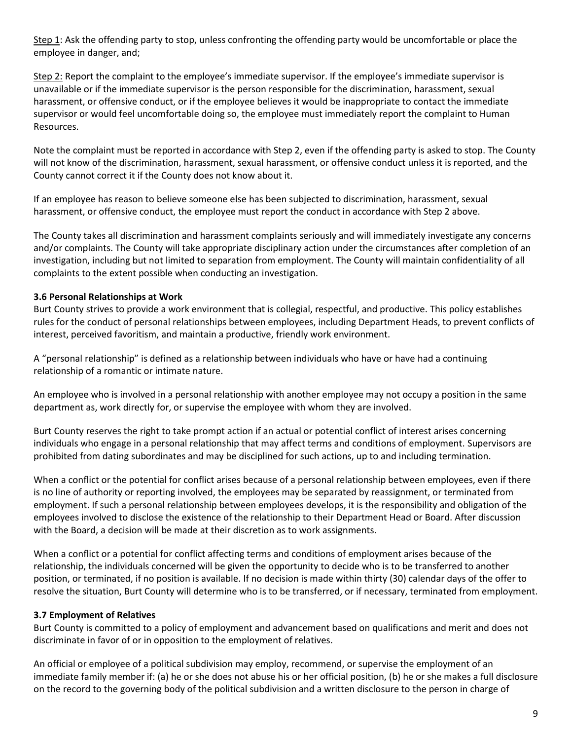Step 1: Ask the offending party to stop, unless confronting the offending party would be uncomfortable or place the employee in danger, and;

Step 2: Report the complaint to the employee's immediate supervisor. If the employee's immediate supervisor is unavailable or if the immediate supervisor is the person responsible for the discrimination, harassment, sexual harassment, or offensive conduct, or if the employee believes it would be inappropriate to contact the immediate supervisor or would feel uncomfortable doing so, the employee must immediately report the complaint to Human Resources.

Note the complaint must be reported in accordance with Step 2, even if the offending party is asked to stop. The County will not know of the discrimination, harassment, sexual harassment, or offensive conduct unless it is reported, and the County cannot correct it if the County does not know about it.

If an employee has reason to believe someone else has been subjected to discrimination, harassment, sexual harassment, or offensive conduct, the employee must report the conduct in accordance with Step 2 above.

The County takes all discrimination and harassment complaints seriously and will immediately investigate any concerns and/or complaints. The County will take appropriate disciplinary action under the circumstances after completion of an investigation, including but not limited to separation from employment. The County will maintain confidentiality of all complaints to the extent possible when conducting an investigation.

## <span id="page-9-0"></span>**3.6 Personal Relationships at Work**

Burt County strives to provide a work environment that is collegial, respectful, and productive. This policy establishes rules for the conduct of personal relationships between employees, including Department Heads, to prevent conflicts of interest, perceived favoritism, and maintain a productive, friendly work environment.

A "personal relationship" is defined as a relationship between individuals who have or have had a continuing relationship of a romantic or intimate nature.

An employee who is involved in a personal relationship with another employee may not occupy a position in the same department as, work directly for, or supervise the employee with whom they are involved.

Burt County reserves the right to take prompt action if an actual or potential conflict of interest arises concerning individuals who engage in a personal relationship that may affect terms and conditions of employment. Supervisors are prohibited from dating subordinates and may be disciplined for such actions, up to and including termination.

When a conflict or the potential for conflict arises because of a personal relationship between employees, even if there is no line of authority or reporting involved, the employees may be separated by reassignment, or terminated from employment. If such a personal relationship between employees develops, it is the responsibility and obligation of the employees involved to disclose the existence of the relationship to their Department Head or Board. After discussion with the Board, a decision will be made at their discretion as to work assignments.

When a conflict or a potential for conflict affecting terms and conditions of employment arises because of the relationship, the individuals concerned will be given the opportunity to decide who is to be transferred to another position, or terminated, if no position is available. If no decision is made within thirty (30) calendar days of the offer to resolve the situation, Burt County will determine who is to be transferred, or if necessary, terminated from employment.

#### <span id="page-9-1"></span>**3.7 Employment of Relatives**

Burt County is committed to a policy of employment and advancement based on qualifications and merit and does not discriminate in favor of or in opposition to the employment of relatives.

An official or employee of a political subdivision may employ, recommend, or supervise the employment of an immediate family member if: (a) he or she does not abuse his or her official position, (b) he or she makes a full disclosure on the record to the governing body of the political subdivision and a written disclosure to the person in charge of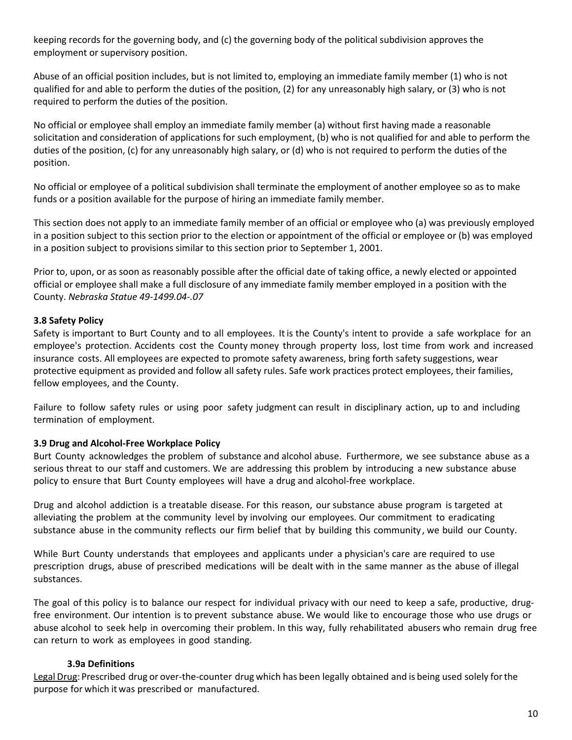keeping records for the governing body, and (c) the governing body of the political subdivision approves the employment or supervisory position.

Abuse of an official position includes, but is not limited to, employing an immediate family member (1) who is not qualified for and able to perform the duties of the position, (2) for any unreasonably high salary, or (3) who is not required to perform the duties of the position.

No official or employee shall employ an immediate family member (a) without first having made a reasonable solicitation and consideration of applications for such employment, (b) who is not qualified for and able to perform the duties of the position, (c) for any unreasonably high salary, or (d) who is not required to perform the duties of the position.

No official or employee of a political subdivision shall terminate the employment of another employee so as to make funds or a position available for the purpose of hiring an immediate family member.

This section does not apply to an immediate family member of an official or employee who (a) was previously employed in a position subject to this section prior to the election or appointment of the official or employee or (b) was employed in a position subject to provisions similar to this section prior to September 1, 2001.

Prior to, upon, or as soon as reasonably possible after the official date of taking office, a newly elected or appointed official or employee shall make a full disclosure of any immediate family member employed in a position with the County. *Nebraska Statue 49-1499.04-.07*

#### <span id="page-10-0"></span>**3.8 Safety Policy**

Safety is important to Burt County and to all employees. It is the County's intent to provide a safe workplace for an employee's protection. Accidents cost the County money through property loss, lost time from work and increased insurance costs. All employees are expected to promote safety awareness, bring forth safety suggestions, wear protective equipment as provided and follow all safety rules. Safe work practices protect employees, their families, fellow employees, and the County.

Failure to follow safety rules or using poor safety judgment can result in disciplinary action, up to and including termination of employment.

#### <span id="page-10-1"></span>**3.9 Drug and Alcohol-Free Workplace Policy**

Burt County acknowledges the problem of substance and alcohol abuse. Furthermore, we see substance abuse as a serious threat to our staff and customers. We are addressing this problem by introducing a new substance abuse policy to ensure that Burt County employees will have a drug and alcohol-free workplace.

Drug and alcohol addiction is a treatable disease. For this reason, our substance abuse program is targeted at alleviating the problem at the community level by involving our employees. Our commitment to eradicating substance abuse in the community reflects our firm belief that by building this community, we build our County.

While Burt County understands that employees and applicants under a physician's care are required to use prescription drugs, abuse of prescribed medications will be dealt with in the same manner as the abuse of illegal substances.

The goal of this policy is to balance our respect for individual privacy with our need to keep a safe, productive, drugfree environment. Our intention is to prevent substance abuse. We would like to encourage those who use drugs or abuse alcohol to seek help in overcoming their problem. In this way, fully rehabilitated abusers who remain drug free can return to work as employees in good standing.

## <span id="page-10-2"></span>**3.9a Definitions**

Legal Drug: Prescribed drug or over-the-counter drug which has been legally obtained and is being used solely forthe purpose for which it was prescribed or manufactured.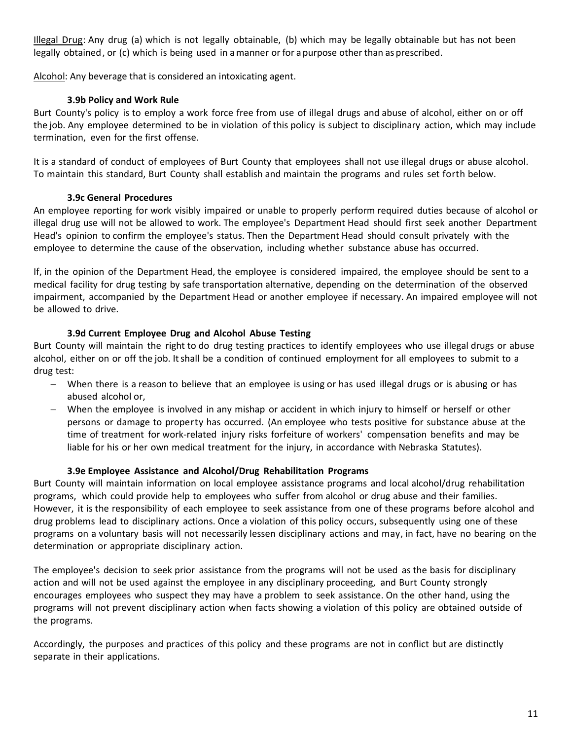Illegal Drug: Any drug (a) which is not legally obtainable, (b) which may be legally obtainable but has not been legally obtained, or (c) which is being used in amanner or for a purpose other than as prescribed.

Alcohol: Any beverage that is considered an intoxicating agent.

## <span id="page-11-0"></span>**3.9b Policy and Work Rule**

Burt County's policy is to employ a work force free from use of illegal drugs and abuse of alcohol, either on or off the job. Any employee determined to be in violation of this policy is subject to disciplinary action, which may include termination, even for the first offense.

It is a standard of conduct of employees of Burt County that employees shall not use illegal drugs or abuse alcohol. To maintain this standard, Burt County shall establish and maintain the programs and rules set forth below.

## <span id="page-11-1"></span>**3.9c General Procedures**

An employee reporting for work visibly impaired or unable to properly perform required duties because of alcohol or illegal drug use will not be allowed to work. The employee's Department Head should first seek another Department Head's opinion to confirm the employee's status. Then the Department Head should consult privately with the employee to determine the cause of the observation, including whether substance abuse has occurred.

If, in the opinion of the Department Head, the employee is considered impaired, the employee should be sent to a medical facility for drug testing by safe transportation alternative, depending on the determination of the observed impairment, accompanied by the Department Head or another employee if necessary. An impaired employee will not be allowed to drive.

#### <span id="page-11-2"></span>**3.9d Current Employee Drug and Alcohol Abuse Testing**

Burt County will maintain the right to do drug testing practices to identify employees who use illegal drugs or abuse alcohol, either on or off the job. Itshall be a condition of continued employment for all employees to submit to a drug test:

- − When there is a reason to believe that an employee is using or has used illegal drugs or is abusing or has abused alcohol or,
- − When the employee is involved in any mishap or accident in which injury to himself or herself or other persons or damage to property has occurred. (An employee who tests positive for substance abuse at the time of treatment for work-related injury risks forfeiture of workers' compensation benefits and may be liable for his or her own medical treatment for the injury, in accordance with Nebraska Statutes).

#### <span id="page-11-3"></span>**3.9e Employee Assistance and Alcohol/Drug Rehabilitation Programs**

Burt County will maintain information on local employee assistance programs and local alcohol/drug rehabilitation programs, which could provide help to employees who suffer from alcohol or drug abuse and their families. However, it is the responsibility of each employee to seek assistance from one of these programs before alcohol and drug problems lead to disciplinary actions. Once a violation of this policy occurs, subsequently using one of these programs on a voluntary basis will not necessarily lessen disciplinary actions and may, in fact, have no bearing on the determination or appropriate disciplinary action.

The employee's decision to seek prior assistance from the programs will not be used as the basis for disciplinary action and will not be used against the employee in any disciplinary proceeding, and Burt County strongly encourages employees who suspect they may have a problem to seek assistance. On the other hand, using the programs will not prevent disciplinary action when facts showing a violation of this policy are obtained outside of the programs.

Accordingly, the purposes and practices of this policy and these programs are not in conflict but are distinctly separate in their applications.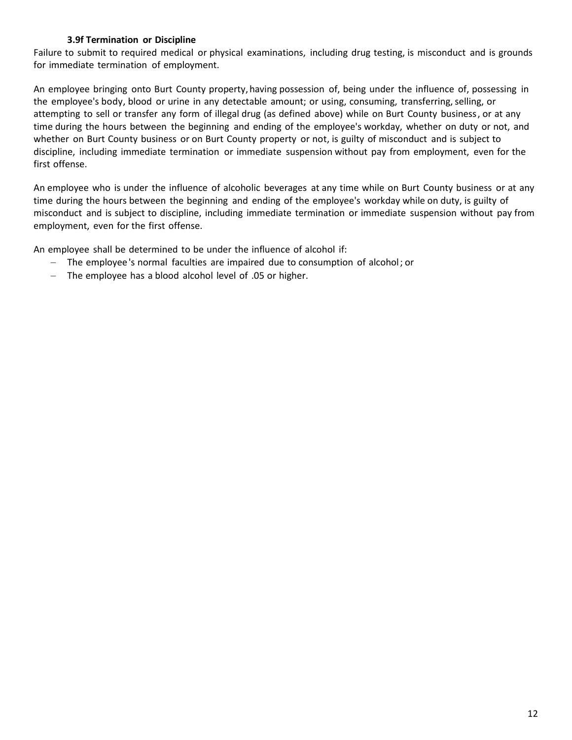## <span id="page-12-0"></span>**3.9f Termination or Discipline**

Failure to submit to required medical or physical examinations, including drug testing, is misconduct and is grounds for immediate termination of employment.

An employee bringing onto Burt County property,having possession of, being under the influence of, possessing in the employee's body, blood or urine in any detectable amount; or using, consuming, transferring, selling, or attempting to sell or transfer any form of illegal drug (as defined above) while on Burt County business, or at any time during the hours between the beginning and ending of the employee's workday, whether on duty or not, and whether on Burt County business or on Burt County property or not, is guilty of misconduct and is subject to discipline, including immediate termination or immediate suspension without pay from employment, even for the first offense.

An employee who is under the influence of alcoholic beverages at any time while on Burt County business or at any time during the hours between the beginning and ending of the employee's workday while on duty, is guilty of misconduct and is subject to discipline, including immediate termination or immediate suspension without pay from employment, even for the first offense.

An employee shall be determined to be under the influence of alcohol if:

- − The employee 's normal faculties are impaired due to consumption of alcohol; or
- − The employee has a blood alcohol level of .05 or higher.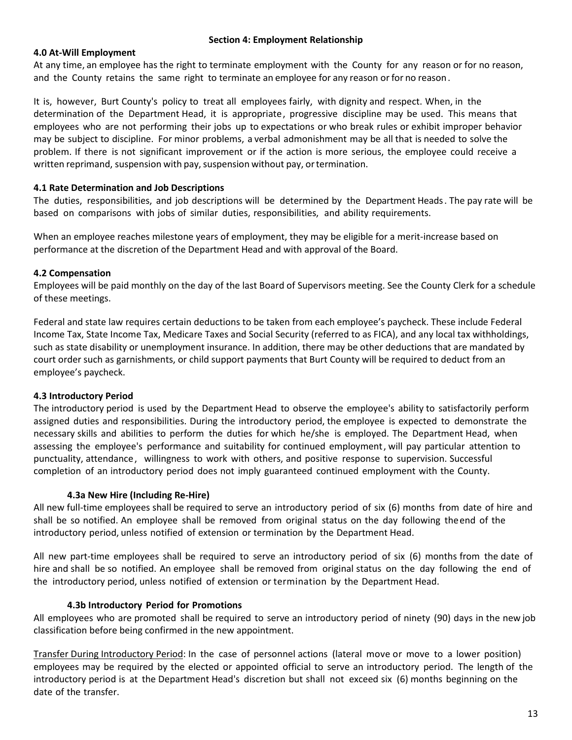#### **Section 4: Employment Relationship**

#### <span id="page-13-1"></span><span id="page-13-0"></span>**4.0 At-Will Employment**

At any time, an employee has the right to terminate employment with the County for any reason or for no reason, and the County retains the same right to terminate an employee for any reason or for no reason.

It is, however, Burt County's policy to treat all employees fairly, with dignity and respect. When, in the determination of the Department Head, it is appropriate, progressive discipline may be used. This means that employees who are not performing their jobs up to expectations or who break rules or exhibit improper behavior may be subject to discipline. For minor problems, a verbal admonishment may be all that is needed to solve the problem. If there is not significant improvement or if the action is more serious, the employee could receive a written reprimand, suspension with pay, suspension without pay, or termination.

#### <span id="page-13-2"></span>**4.1 Rate Determination and Job Descriptions**

The duties, responsibilities, and job descriptions will be determined by the Department Heads. The pay rate will be based on comparisons with jobs of similar duties, responsibilities, and ability requirements.

When an employee reaches milestone years of employment, they may be eligible for a merit-increase based on performance at the discretion of the Department Head and with approval of the Board.

#### <span id="page-13-3"></span>**4.2 Compensation**

Employees will be paid monthly on the day of the last Board of Supervisors meeting. See the County Clerk for a schedule of these meetings.

Federal and state law requires certain deductions to be taken from each employee's paycheck. These include Federal Income Tax, State Income Tax, Medicare Taxes and Social Security (referred to as FICA), and any local tax withholdings, such as state disability or unemployment insurance. In addition, there may be other deductions that are mandated by court order such as garnishments, or child support payments that Burt County will be required to deduct from an employee's paycheck.

## <span id="page-13-4"></span>**4.3 Introductory Period**

The introductory period is used by the Department Head to observe the employee's ability to satisfactorily perform assigned duties and responsibilities. During the introductory period, the employee is expected to demonstrate the necessary skills and abilities to perform the duties for which he/she is employed. The Department Head, when assessing the employee's performance and suitability for continued employment, will pay particular attention to punctuality, attendance, willingness to work with others, and positive response to supervision. Successful completion of an introductory period does not imply guaranteed continued employment with the County.

#### <span id="page-13-5"></span>**4.3a New Hire (Including Re-Hire)**

All new full-time employees shall be required to serve an introductory period of six (6) months from date of hire and shall be so notified. An employee shall be removed from original status on the day following theend of the introductory period, unless notified of extension or termination by the Department Head.

All new part-time employees shall be required to serve an introductory period of six (6) months from the date of hire and shall be so notified. An employee shall be removed from original status on the day following the end of the introductory period, unless notified of extension or termination by the Department Head.

#### <span id="page-13-6"></span>**4.3b Introductory Period for Promotions**

All employees who are promoted shall be required to serve an introductory period of ninety (90) days in the new job classification before being confirmed in the new appointment.

Transfer During Introductory Period: In the case of personnel actions (lateral move or move to a lower position) employees may be required by the elected or appointed official to serve an introductory period. The length of the introductory period is at the Department Head's discretion but shall not exceed six (6) months beginning on the date of the transfer.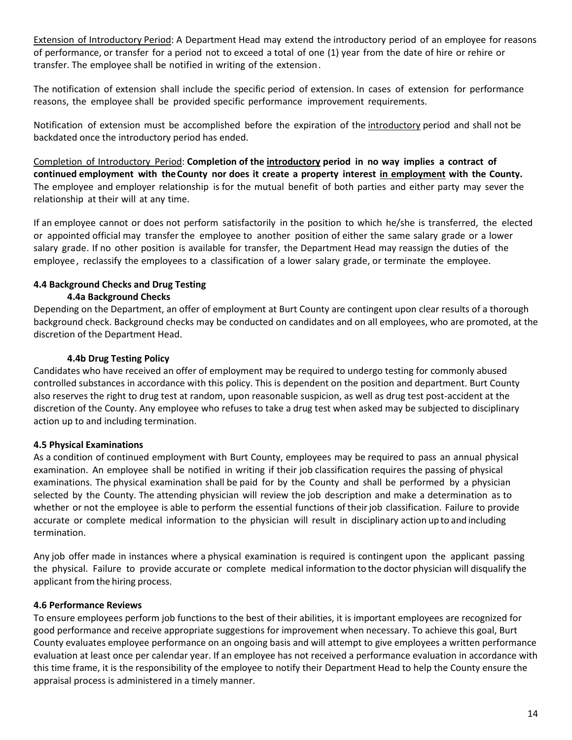Extension of Introductory Period: A Department Head may extend the introductory period of an employee for reasons of performance, or transfer for a period not to exceed a total of one (1) year from the date of hire or rehire or transfer. The employee shall be notified in writing of the extension.

The notification of extension shall include the specific period of extension. In cases of extension for performance reasons, the employee shall be provided specific performance improvement requirements.

Notification of extension must be accomplished before the expiration of the introductory period and shall not be backdated once the introductory period has ended.

Completion of Introductory Period: **Completion of the introductory period in no way implies a contract of continued employment with theCounty nor does it create a property interest in employment with the County.** The employee and employer relationship is for the mutual benefit of both parties and either party may sever the relationship at their will at any time.

If an employee cannot or does not perform satisfactorily in the position to which he/she is transferred, the elected or appointed official may transfer the employee to another position of either the same salary grade or a lower salary grade. If no other position is available for transfer, the Department Head may reassign the duties of the employee, reclassify the employees to a classification of a lower salary grade, or terminate the employee.

## <span id="page-14-1"></span><span id="page-14-0"></span>**4.4 Background Checks and Drug Testing 4.4a Background Checks**

Depending on the Department, an offer of employment at Burt County are contingent upon clear results of a thorough background check. Background checks may be conducted on candidates and on all employees, who are promoted, at the discretion of the Department Head.

## <span id="page-14-2"></span>**4.4b Drug Testing Policy**

Candidates who have received an offer of employment may be required to undergo testing for commonly abused controlled substances in accordance with this policy. This is dependent on the position and department. Burt County also reserves the right to drug test at random, upon reasonable suspicion, as well as drug test post-accident at the discretion of the County. Any employee who refuses to take a drug test when asked may be subjected to disciplinary action up to and including termination.

## <span id="page-14-3"></span>**4.5 Physical Examinations**

As a condition of continued employment with Burt County, employees may be required to pass an annual physical examination. An employee shall be notified in writing if their job classification requires the passing of physical examinations. The physical examination shall be paid for by the County and shall be performed by a physician selected by the County. The attending physician will review the job description and make a determination as to whether or not the employee is able to perform the essential functions of their job classification. Failure to provide accurate or complete medical information to the physician will result in disciplinary action upto and including termination.

Any job offer made in instances where a physical examination is required is contingent upon the applicant passing the physical. Failure to provide accurate or complete medical information to the doctor physician will disqualify the applicant fromthe hiring process.

## <span id="page-14-4"></span>**4.6 Performance Reviews**

To ensure employees perform job functions to the best of their abilities, it is important employees are recognized for good performance and receive appropriate suggestions for improvement when necessary. To achieve this goal, Burt County evaluates employee performance on an ongoing basis and will attempt to give employees a written performance evaluation at least once per calendar year. If an employee has not received a performance evaluation in accordance with this time frame, it is the responsibility of the employee to notify their Department Head to help the County ensure the appraisal process is administered in a timely manner.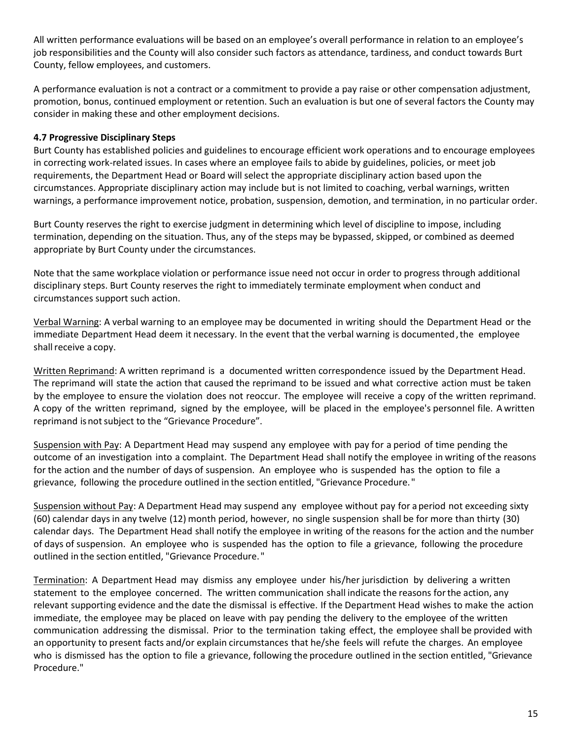All written performance evaluations will be based on an employee's overall performance in relation to an employee's job responsibilities and the County will also consider such factors as attendance, tardiness, and conduct towards Burt County, fellow employees, and customers.

A performance evaluation is not a contract or a commitment to provide a pay raise or other compensation adjustment, promotion, bonus, continued employment or retention. Such an evaluation is but one of several factors the County may consider in making these and other employment decisions.

## <span id="page-15-0"></span>**4.7 Progressive Disciplinary Steps**

Burt County has established policies and guidelines to encourage efficient work operations and to encourage employees in correcting work-related issues. In cases where an employee fails to abide by guidelines, policies, or meet job requirements, the Department Head or Board will select the appropriate disciplinary action based upon the circumstances. Appropriate disciplinary action may include but is not limited to coaching, verbal warnings, written warnings, a performance improvement notice, probation, suspension, demotion, and termination, in no particular order.

Burt County reserves the right to exercise judgment in determining which level of discipline to impose, including termination, depending on the situation. Thus, any of the steps may be bypassed, skipped, or combined as deemed appropriate by Burt County under the circumstances.

Note that the same workplace violation or performance issue need not occur in order to progress through additional disciplinary steps. Burt County reserves the right to immediately terminate employment when conduct and circumstances support such action.

Verbal Warning: A verbal warning to an employee may be documented in writing should the Department Head or the immediate Department Head deem it necessary. In the event that the verbal warning is documented, the employee shall receive a copy.

Written Reprimand: A written reprimand is a documented written correspondence issued by the Department Head. The reprimand will state the action that caused the reprimand to be issued and what corrective action must be taken by the employee to ensure the violation does not reoccur. The employee will receive a copy of the written reprimand. A copy of the written reprimand, signed by the employee, will be placed in the employee's personnel file. A written reprimand is not subject to the "Grievance Procedure".

Suspension with Pay: A Department Head may suspend any employee with pay for a period of time pending the outcome of an investigation into a complaint. The Department Head shall notify the employee in writing of the reasons for the action and the number of days of suspension. An employee who is suspended has the option to file a grievance, following the procedure outlined in the section entitled, "Grievance Procedure."

Suspension without Pay: A Department Head may suspend any employee without pay for a period not exceeding sixty (60) calendar days in any twelve (12) month period, however, no single suspension shall be for more than thirty (30) calendar days. The Department Head shall notify the employee in writing of the reasons forthe action and the number of days of suspension. An employee who is suspended has the option to file a grievance, following the procedure outlined in the section entitled, "Grievance Procedure. "

Termination: A Department Head may dismiss any employee under his/her jurisdiction by delivering a written statement to the employee concerned. The written communication shall indicate the reasons forthe action, any relevant supporting evidence and the date the dismissal is effective. If the Department Head wishes to make the action immediate, the employee may be placed on leave with pay pending the delivery to the employee of the written communication addressing the dismissal. Prior to the termination taking effect, the employee shall be provided with an opportunity to present facts and/or explain circumstances that he/she feels will refute the charges. An employee who is dismissed has the option to file a grievance, following the procedure outlined in the section entitled, "Grievance Procedure."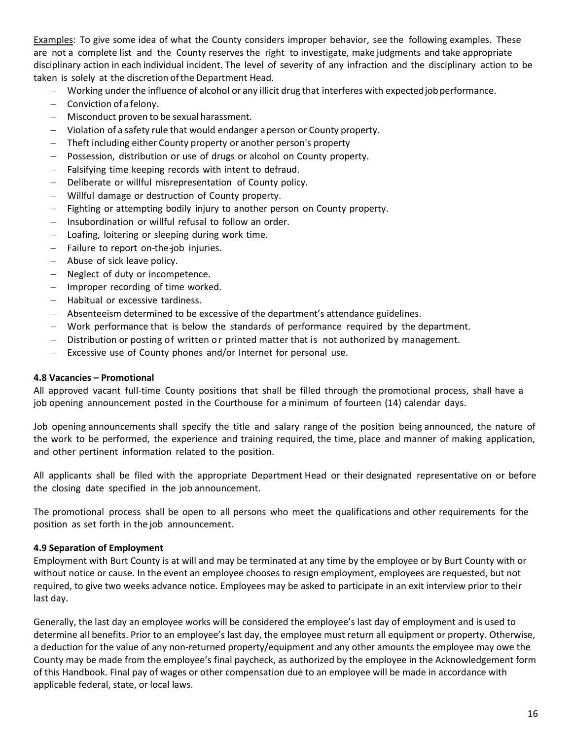Examples: To give some idea of what the County considers improper behavior, see the following examples. These are not a complete list and the County reserves the right to investigate, make judgments and take appropriate disciplinary action in each individual incident. The level of severity of any infraction and the disciplinary action to be taken is solely at the discretion ofthe Department Head.

- − Working under the influence of alcohol or any illicit drug that interferes with expectedjobperformance.
- − Conviction of a felony.
- − Misconduct proven to be sexual harassment.
- − Violation of a safety rule that would endanger aperson or County property.
- Theft including either County property or another person's property
- Possession, distribution or use of drugs or alcohol on County property.
- Falsifying time keeping records with intent to defraud.
- Deliberate or willful misrepresentation of County policy.
- − Willful damage or destruction of County property.
- Fighting or attempting bodily injury to another person on County property.
- Insubordination or willful refusal to follow an order.
- Loafing, loitering or sleeping during work time.
- − Failure to report on-the-job injuries.
- − Abuse of sick leave policy.
- Neglect of duty or incompetence.
- Improper recording of time worked.
- − Habitual or excessive tardiness.
- − Absenteeism determined to be excessive of the department's attendance guidelines.
- − Work performance that is below the standards of performance required by the department.
- Distribution or posting of written or printed matter that is not authorized by management.
- Excessive use of County phones and/or Internet for personal use.

#### <span id="page-16-0"></span>**4.8 Vacancies – Promotional**

All approved vacant full-time County positions that shall be filled through the promotional process, shall have a job opening announcement posted in the Courthouse for a minimum of fourteen (14) calendar days.

Job opening announcements shall specify the title and salary range of the position being announced, the nature of the work to be performed, the experience and training required, the time, place and manner of making application, and other pertinent information related to the position.

All applicants shall be filed with the appropriate Department Head or their designated representative on or before the closing date specified in the job announcement.

The promotional process shall be open to all persons who meet the qualifications and other requirements for the position as set forth in the job announcement.

#### <span id="page-16-1"></span>**4.9 Separation of Employment**

Employment with Burt County is at will and may be terminated at any time by the employee or by Burt County with or without notice or cause. In the event an employee chooses to resign employment, employees are requested, but not required, to give two weeks advance notice. Employees may be asked to participate in an exit interview prior to their last day.

Generally, the last day an employee works will be considered the employee's last day of employment and is used to determine all benefits. Prior to an employee's last day, the employee must return all equipment or property. Otherwise, a deduction for the value of any non-returned property/equipment and any other amounts the employee may owe the County may be made from the employee's final paycheck, as authorized by the employee in the Acknowledgement form of this Handbook. Final pay of wages or other compensation due to an employee will be made in accordance with applicable federal, state, or local laws.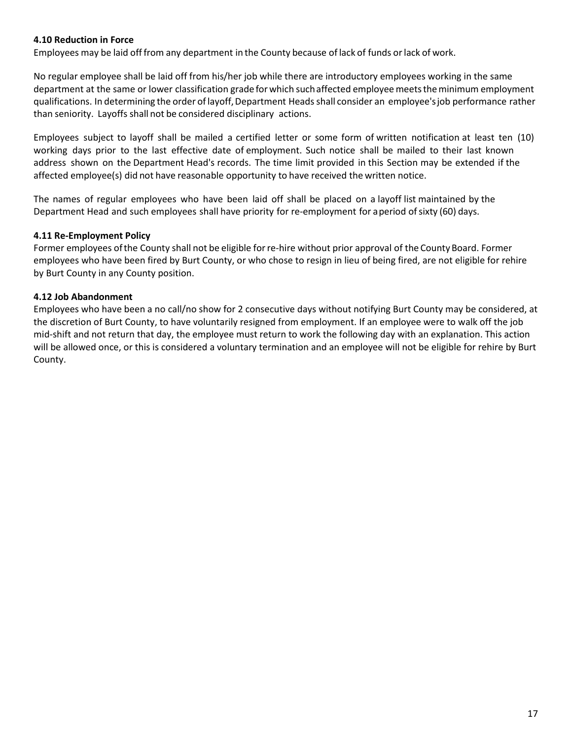#### <span id="page-17-0"></span>**4.10 Reduction in Force**

Employees may be laid off from any department in the County because of lack of funds orlack of work.

No regular employee shall be laid off from his/her job while there are introductory employees working in the same department at the same or lower classification grade forwhich suchaffected employeemeetstheminimum employment qualifications. In determining the order oflayoff,Department Headsshall consider an employee'sjob performance rather than seniority. Layoffs shall not be considered disciplinary actions.

Employees subject to layoff shall be mailed a certified letter or some form of written notification at least ten (10) working days prior to the last effective date of employment. Such notice shall be mailed to their last known address shown on the Department Head's records. The time limit provided in this Section may be extended if the affected employee(s) did not have reasonable opportunity to have received the written notice.

The names of regular employees who have been laid off shall be placed on a layoff list maintained by the Department Head and such employees shall have priority for re-employment for a period of sixty (60) days.

#### <span id="page-17-1"></span>**4.11 Re-Employment Policy**

Former employees ofthe County shall not be eligible forre-hire without prior approval of the County Board. Former employees who have been fired by Burt County, or who chose to resign in lieu of being fired, are not eligible for rehire by Burt County in any County position.

#### <span id="page-17-2"></span>**4.12 Job Abandonment**

Employees who have been a no call/no show for 2 consecutive days without notifying Burt County may be considered, at the discretion of Burt County, to have voluntarily resigned from employment. If an employee were to walk off the job mid-shift and not return that day, the employee must return to work the following day with an explanation. This action will be allowed once, or this is considered a voluntary termination and an employee will not be eligible for rehire by Burt County.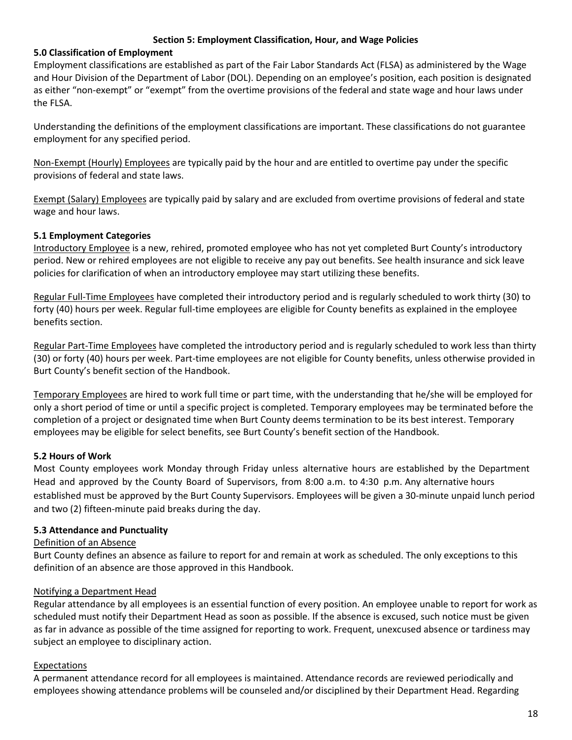#### **Section 5: Employment Classification, Hour, and Wage Policies**

#### <span id="page-18-1"></span><span id="page-18-0"></span>**5.0 Classification of Employment**

Employment classifications are established as part of the Fair Labor Standards Act (FLSA) as administered by the Wage and Hour Division of the Department of Labor (DOL). Depending on an employee's position, each position is designated as either "non-exempt" or "exempt" from the overtime provisions of the federal and state wage and hour laws under the FLSA.

Understanding the definitions of the employment classifications are important. These classifications do not guarantee employment for any specified period.

Non-Exempt (Hourly) Employees are typically paid by the hour and are entitled to overtime pay under the specific provisions of federal and state laws.

Exempt (Salary) Employees are typically paid by salary and are excluded from overtime provisions of federal and state wage and hour laws.

#### <span id="page-18-2"></span>**5.1 Employment Categories**

Introductory Employee is a new, rehired, promoted employee who has not yet completed Burt County's introductory period. New or rehired employees are not eligible to receive any pay out benefits. See health insurance and sick leave policies for clarification of when an introductory employee may start utilizing these benefits.

Regular Full-Time Employees have completed their introductory period and is regularly scheduled to work thirty (30) to forty (40) hours per week. Regular full-time employees are eligible for County benefits as explained in the employee benefits section.

Regular Part-Time Employees have completed the introductory period and is regularly scheduled to work less than thirty (30) or forty (40) hours per week. Part-time employees are not eligible for County benefits, unless otherwise provided in Burt County's benefit section of the Handbook.

Temporary Employees are hired to work full time or part time, with the understanding that he/she will be employed for only a short period of time or until a specific project is completed. Temporary employees may be terminated before the completion of a project or designated time when Burt County deems termination to be its best interest. Temporary employees may be eligible for select benefits, see Burt County's benefit section of the Handbook.

## <span id="page-18-3"></span>**5.2 Hours of Work**

Most County employees work Monday through Friday unless alternative hours are established by the Department Head and approved by the County Board of Supervisors, from 8:00 a.m. to 4:30 p.m. Any alternative hours established must be approved by the Burt County Supervisors. Employees will be given a 30-minute unpaid lunch period and two (2) fifteen-minute paid breaks during the day.

#### <span id="page-18-4"></span>**5.3 Attendance and Punctuality**

#### Definition of an Absence

Burt County defines an absence as failure to report for and remain at work as scheduled. The only exceptions to this definition of an absence are those approved in this Handbook.

#### Notifying a Department Head

Regular attendance by all employees is an essential function of every position. An employee unable to report for work as scheduled must notify their Department Head as soon as possible. If the absence is excused, such notice must be given as far in advance as possible of the time assigned for reporting to work. Frequent, unexcused absence or tardiness may subject an employee to disciplinary action.

## Expectations

A permanent attendance record for all employees is maintained. Attendance records are reviewed periodically and employees showing attendance problems will be counseled and/or disciplined by their Department Head. Regarding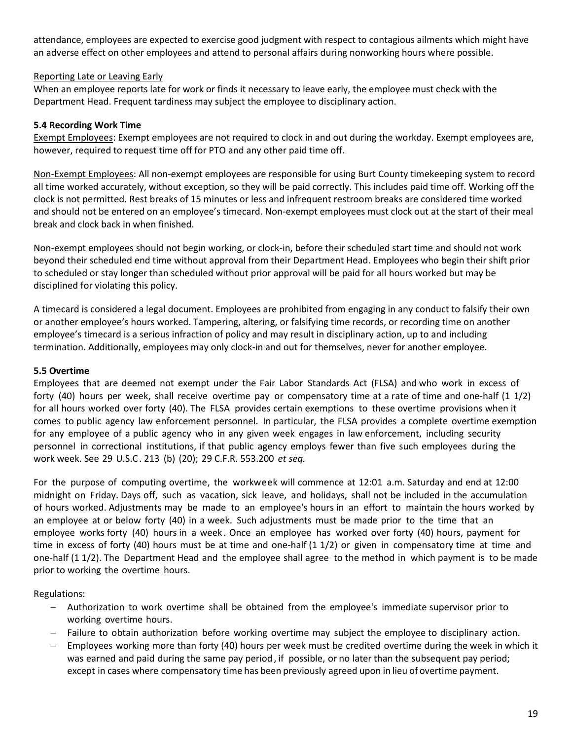attendance, employees are expected to exercise good judgment with respect to contagious ailments which might have an adverse effect on other employees and attend to personal affairs during nonworking hours where possible.

## Reporting Late or Leaving Early

When an employee reports late for work or finds it necessary to leave early, the employee must check with the Department Head. Frequent tardiness may subject the employee to disciplinary action.

## <span id="page-19-0"></span>**5.4 Recording Work Time**

Exempt Employees: Exempt employees are not required to clock in and out during the workday. Exempt employees are, however, required to request time off for PTO and any other paid time off.

Non-Exempt Employees: All non-exempt employees are responsible for using Burt County timekeeping system to record all time worked accurately, without exception, so they will be paid correctly. This includes paid time off. Working off the clock is not permitted. Rest breaks of 15 minutes or less and infrequent restroom breaks are considered time worked and should not be entered on an employee's timecard. Non-exempt employees must clock out at the start of their meal break and clock back in when finished.

Non-exempt employees should not begin working, or clock-in, before their scheduled start time and should not work beyond their scheduled end time without approval from their Department Head. Employees who begin their shift prior to scheduled or stay longer than scheduled without prior approval will be paid for all hours worked but may be disciplined for violating this policy.

A timecard is considered a legal document. Employees are prohibited from engaging in any conduct to falsify their own or another employee's hours worked. Tampering, altering, or falsifying time records, or recording time on another employee's timecard is a serious infraction of policy and may result in disciplinary action, up to and including termination. Additionally, employees may only clock-in and out for themselves, never for another employee.

## <span id="page-19-1"></span>**5.5 Overtime**

Employees that are deemed not exempt under the Fair Labor Standards Act (FLSA) and who work in excess of forty (40) hours per week, shall receive overtime pay or compensatory time at a rate of time and one-half (1 1/2) for all hours worked over forty (40). The FLSA provides certain exemptions to these overtime provisions when it comes to public agency law enforcement personnel. In particular, the FLSA provides a complete overtime exemption for any employee of a public agency who in any given week engages in law enforcement, including security personnel in correctional institutions, if that public agency employs fewer than five such employees during the work week. See 29 U.S.C. 213 (b) (20); 29 C.F.R. 553.200 *et seq.*

For the purpose of computing overtime, the workweek will commence at 12:01 a.m. Saturday and end at 12:00 midnight on Friday. Days off, such as vacation, sick leave, and holidays, shall not be included in the accumulation of hours worked. Adjustments may be made to an employee's hours in an effort to maintain the hours worked by an employee at or below forty (40) in a week. Such adjustments must be made prior to the time that an employee works forty (40) hours in a week . Once an employee has worked over forty (40) hours, payment for time in excess of forty (40) hours must be at time and one-half (1 1/2) or given in compensatory time at time and one-half (1 1/2). The Department Head and the employee shall agree to the method in which payment is to be made prior to working the overtime hours.

Regulations:

- − Authorization to work overtime shall be obtained from the employee's immediate supervisor prior to working overtime hours.
- Failure to obtain authorization before working overtime may subject the employee to disciplinary action.
- Employees working more than forty (40) hours per week must be credited overtime during the week in which it was earned and paid during the same pay period, if possible, or no later than the subsequent pay period; except in cases where compensatory time has been previously agreed upon in lieu of overtime payment.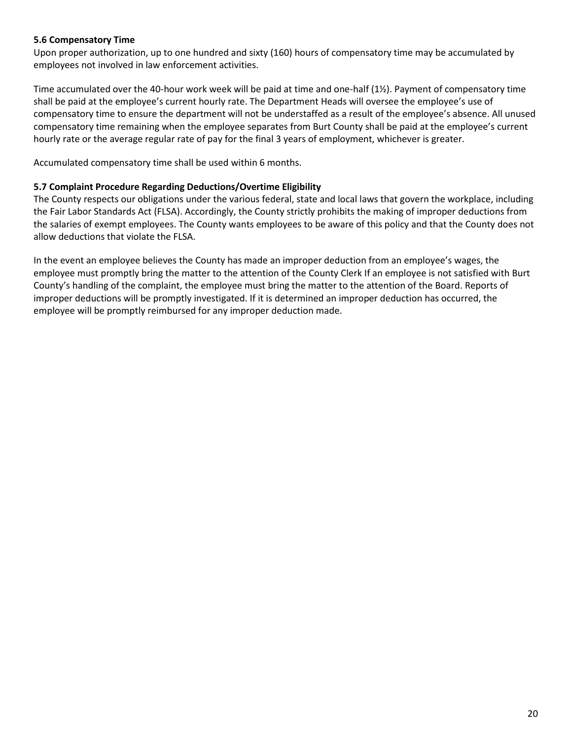#### <span id="page-20-0"></span>**5.6 Compensatory Time**

Upon proper authorization, up to one hundred and sixty (160) hours of compensatory time may be accumulated by employees not involved in law enforcement activities.

Time accumulated over the 40-hour work week will be paid at time and one-half (1½). Payment of compensatory time shall be paid at the employee's current hourly rate. The Department Heads will oversee the employee's use of compensatory time to ensure the department will not be understaffed as a result of the employee's absence. All unused compensatory time remaining when the employee separates from Burt County shall be paid at the employee's current hourly rate or the average regular rate of pay for the final 3 years of employment, whichever is greater.

Accumulated compensatory time shall be used within 6 months.

#### <span id="page-20-1"></span>**5.7 Complaint Procedure Regarding Deductions/Overtime Eligibility**

The County respects our obligations under the various federal, state and local laws that govern the workplace, including the Fair Labor Standards Act (FLSA). Accordingly, the County strictly prohibits the making of improper deductions from the salaries of exempt employees. The County wants employees to be aware of this policy and that the County does not allow deductions that violate the FLSA.

In the event an employee believes the County has made an improper deduction from an employee's wages, the employee must promptly bring the matter to the attention of the County Clerk If an employee is not satisfied with Burt County's handling of the complaint, the employee must bring the matter to the attention of the Board. Reports of improper deductions will be promptly investigated. If it is determined an improper deduction has occurred, the employee will be promptly reimbursed for any improper deduction made.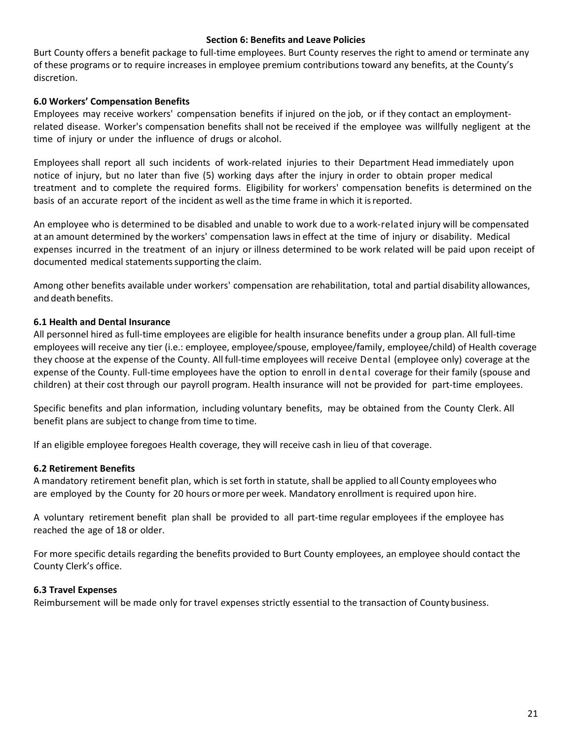#### **Section 6: Benefits and Leave Policies**

<span id="page-21-0"></span>Burt County offers a benefit package to full-time employees. Burt County reserves the right to amend or terminate any of these programs or to require increases in employee premium contributions toward any benefits, at the County's discretion.

#### <span id="page-21-1"></span>**6.0 Workers' Compensation Benefits**

Employees may receive workers' compensation benefits if injured on the job, or if they contact an employmentrelated disease. Worker's compensation benefits shall not be received if the employee was willfully negligent at the time of injury or under the influence of drugs or alcohol.

Employees shall report all such incidents of work-related injuries to their Department Head immediately upon notice of injury, but no later than five (5) working days after the injury in order to obtain proper medical treatment and to complete the required forms. Eligibility for workers' compensation benefits is determined on the basis of an accurate report of the incident as well asthe time frame in which it isreported.

An employee who is determined to be disabled and unable to work due to a work-related injury will be compensated at an amount determined by the workers' compensation laws in effect at the time of injury or disability. Medical expenses incurred in the treatment of an injury or illness determined to be work related will be paid upon receipt of documented medical statements supporting the claim.

Among other benefits available under workers' compensation are rehabilitation, total and partial disability allowances, and death benefits.

#### <span id="page-21-2"></span>**6.1 Health and Dental Insurance**

All personnel hired as full-time employees are eligible for health insurance benefits under a group plan. All full-time employees will receive any tier (i.e.: employee, employee/spouse, employee/family, employee/child) of Health coverage they choose at the expense of the County. All full-time employees will receive Dental (employee only) coverage at the expense of the County. Full-time employees have the option to enroll in dental coverage for their family (spouse and children) at their cost through our payroll program. Health insurance will not be provided for part-time employees.

Specific benefits and plan information, including voluntary benefits, may be obtained from the County Clerk. All benefit plans are subject to change from time to time.

If an eligible employee foregoes Health coverage, they will receive cash in lieu of that coverage.

#### <span id="page-21-3"></span>**6.2 Retirement Benefits**

A mandatory retirement benefit plan, which is set forth in statute, shall be applied to all County employees who are employed by the County for 20 hours ormore per week. Mandatory enrollment is required upon hire.

A voluntary retirement benefit plan shall be provided to all part-time regular employees if the employee has reached the age of 18 or older.

For more specific details regarding the benefits provided to Burt County employees, an employee should contact the County Clerk's office.

#### <span id="page-21-4"></span>**6.3 Travel Expenses**

Reimbursement will be made only for travel expenses strictly essential to the transaction of Countybusiness.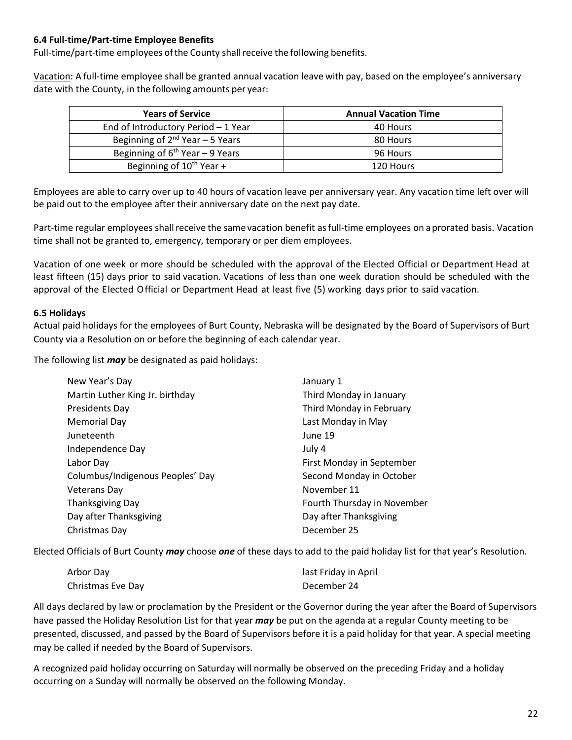#### <span id="page-22-0"></span>**6.4 Full-time/Part-time Employee Benefits**

Full-time/part-time employees of the County shall receive the following benefits.

Vacation: A full-time employee shall be granted annual vacation leave with pay, based on the employee's anniversary date with the County, in the following amounts per year:

| <b>Years of Service</b>              | <b>Annual Vacation Time</b> |
|--------------------------------------|-----------------------------|
| End of Introductory Period - 1 Year  | 40 Hours                    |
| Beginning of $2^{nd}$ Year – 5 Years | 80 Hours                    |
| Beginning of $6th$ Year - 9 Years    | 96 Hours                    |
| Beginning of 10 <sup>th</sup> Year + | 120 Hours                   |

Employees are able to carry over up to 40 hours of vacation leave per anniversary year. Any vacation time left over will be paid out to the employee after their anniversary date on the next pay date.

Part-time regular employees shallreceive the same vacation benefit asfull-time employees on aprorated basis. Vacation time shall not be granted to, emergency, temporary or per diem employees.

Vacation of one week or more should be scheduled with the approval of the Elected Official or Department Head at least fifteen (15) days prior to said vacation. Vacations of less than one week duration should be scheduled with the approval of the Elected Official or Department Head at least five (5) working days prior to said vacation.

#### <span id="page-22-1"></span>**6.5 Holidays**

Actual paid holidays for the employees of Burt County, Nebraska will be designated by the Board of Supervisors of Burt County via a Resolution on or before the beginning of each calendar year.

The following list *may* be designated as paid holidays:

| New Year's Day                   | January 1                   |
|----------------------------------|-----------------------------|
| Martin Luther King Jr. birthday  | Third Monday in January     |
| <b>Presidents Day</b>            | Third Monday in February    |
| Memorial Day                     | Last Monday in May          |
| Juneteenth                       | June 19                     |
| Independence Day                 | July 4                      |
| Labor Day                        | First Monday in September   |
| Columbus/Indigenous Peoples' Day | Second Monday in October    |
| <b>Veterans Day</b>              | November 11                 |
| Thanksgiving Day                 | Fourth Thursday in November |
| Day after Thanksgiving           | Day after Thanksgiving      |
| Christmas Day                    | December 25                 |

Elected Officials of Burt County *may* choose *one* of these days to add to the paid holiday list for that year's Resolution.

| Arbor Day         | last Friday in April |
|-------------------|----------------------|
| Christmas Eve Day | December 24          |

All days declared by law or proclamation by the President or the Governor during the year after the Board of Supervisors have passed the Holiday Resolution List for that year *may* be put on the agenda at a regular County meeting to be presented, discussed, and passed by the Board of Supervisors before it is a paid holiday for that year. A special meeting may be called if needed by the Board of Supervisors.

A recognized paid holiday occurring on Saturday will normally be observed on the preceding Friday and a holiday occurring on a Sunday will normally be observed on the following Monday.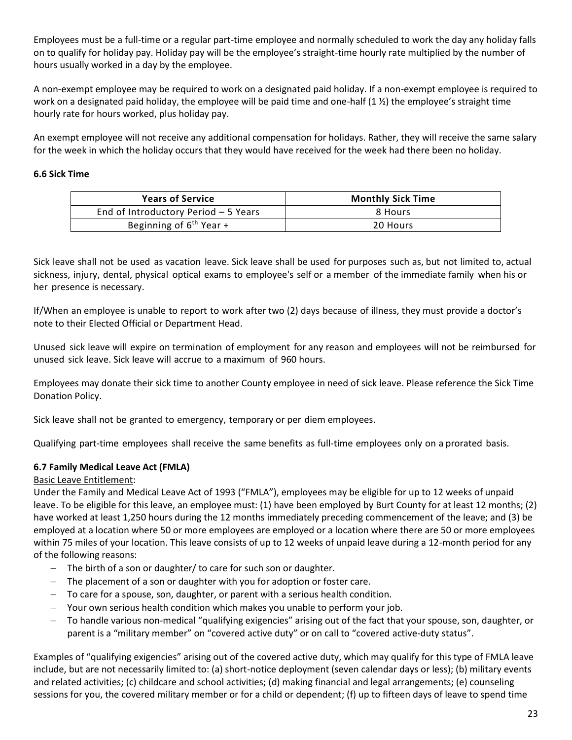Employees must be a full-time or a regular part-time employee and normally scheduled to work the day any holiday falls on to qualify for holiday pay. Holiday pay will be the employee's straight-time hourly rate multiplied by the number of hours usually worked in a day by the employee.

A non-exempt employee may be required to work on a designated paid holiday. If a non-exempt employee is required to work on a designated paid holiday, the employee will be paid time and one-half  $(1 \frac{1}{2})$  the employee's straight time hourly rate for hours worked, plus holiday pay.

An exempt employee will not receive any additional compensation for holidays. Rather, they will receive the same salary for the week in which the holiday occurs that they would have received for the week had there been no holiday.

#### <span id="page-23-0"></span>**6.6 Sick Time**

| <b>Years of Service</b>              | <b>Monthly Sick Time</b> |
|--------------------------------------|--------------------------|
| End of Introductory Period - 5 Years | 8 Hours                  |
| Beginning of 6 <sup>th</sup> Year +  | 20 Hours                 |

Sick leave shall not be used as vacation leave. Sick leave shall be used for purposes such as, but not limited to, actual sickness, injury, dental, physical optical exams to employee's self or a member of the immediate family when his or her presence is necessary.

If/When an employee is unable to report to work after two (2) days because of illness, they must provide a doctor's note to their Elected Official or Department Head.

Unused sick leave will expire on termination of employment for any reason and employees will not be reimbursed for unused sick leave. Sick leave will accrue to a maximum of 960 hours.

Employees may donate their sick time to another County employee in need of sick leave. Please reference the Sick Time Donation Policy.

Sick leave shall not be granted to emergency, temporary or per diem employees.

Qualifying part-time employees shall receive the same benefits as full-time employees only on a prorated basis.

## <span id="page-23-1"></span>**6.7 Family Medical Leave Act (FMLA)**

## Basic Leave Entitlement:

Under the Family and Medical Leave Act of 1993 ("FMLA"), employees may be eligible for up to 12 weeks of unpaid leave. To be eligible for this leave, an employee must: (1) have been employed by Burt County for at least 12 months; (2) have worked at least 1,250 hours during the 12 months immediately preceding commencement of the leave; and (3) be employed at a location where 50 or more employees are employed or a location where there are 50 or more employees within 75 miles of your location. This leave consists of up to 12 weeks of unpaid leave during a 12-month period for any of the following reasons:

- − The birth of a son or daughter/ to care for such son or daughter.
- − The placement of a son or daughter with you for adoption or foster care.
- − To care for a spouse, son, daughter, or parent with a serious health condition.
- Your own serious health condition which makes you unable to perform your job.
- To handle various non-medical "qualifying exigencies" arising out of the fact that your spouse, son, daughter, or parent is a "military member" on "covered active duty" or on call to "covered active-duty status".

Examples of "qualifying exigencies" arising out of the covered active duty, which may qualify for this type of FMLA leave include, but are not necessarily limited to: (a) short-notice deployment (seven calendar days or less); (b) military events and related activities; (c) childcare and school activities; (d) making financial and legal arrangements; (e) counseling sessions for you, the covered military member or for a child or dependent; (f) up to fifteen days of leave to spend time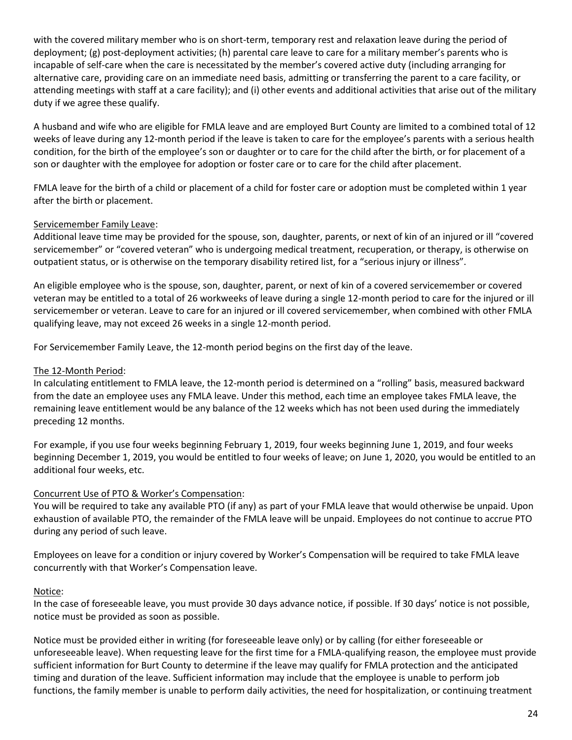with the covered military member who is on short-term, temporary rest and relaxation leave during the period of deployment; (g) post-deployment activities; (h) parental care leave to care for a military member's parents who is incapable of self-care when the care is necessitated by the member's covered active duty (including arranging for alternative care, providing care on an immediate need basis, admitting or transferring the parent to a care facility, or attending meetings with staff at a care facility); and (i) other events and additional activities that arise out of the military duty if we agree these qualify.

A husband and wife who are eligible for FMLA leave and are employed Burt County are limited to a combined total of 12 weeks of leave during any 12-month period if the leave is taken to care for the employee's parents with a serious health condition, for the birth of the employee's son or daughter or to care for the child after the birth, or for placement of a son or daughter with the employee for adoption or foster care or to care for the child after placement.

FMLA leave for the birth of a child or placement of a child for foster care or adoption must be completed within 1 year after the birth or placement.

#### Servicemember Family Leave:

Additional leave time may be provided for the spouse, son, daughter, parents, or next of kin of an injured or ill "covered servicemember" or "covered veteran" who is undergoing medical treatment, recuperation, or therapy, is otherwise on outpatient status, or is otherwise on the temporary disability retired list, for a "serious injury or illness".

An eligible employee who is the spouse, son, daughter, parent, or next of kin of a covered servicemember or covered veteran may be entitled to a total of 26 workweeks of leave during a single 12-month period to care for the injured or ill servicemember or veteran. Leave to care for an injured or ill covered servicemember, when combined with other FMLA qualifying leave, may not exceed 26 weeks in a single 12-month period.

For Servicemember Family Leave, the 12-month period begins on the first day of the leave.

## The 12-Month Period:

In calculating entitlement to FMLA leave, the 12-month period is determined on a "rolling" basis, measured backward from the date an employee uses any FMLA leave. Under this method, each time an employee takes FMLA leave, the remaining leave entitlement would be any balance of the 12 weeks which has not been used during the immediately preceding 12 months.

For example, if you use four weeks beginning February 1, 2019, four weeks beginning June 1, 2019, and four weeks beginning December 1, 2019, you would be entitled to four weeks of leave; on June 1, 2020, you would be entitled to an additional four weeks, etc.

## Concurrent Use of PTO & Worker's Compensation:

You will be required to take any available PTO (if any) as part of your FMLA leave that would otherwise be unpaid. Upon exhaustion of available PTO, the remainder of the FMLA leave will be unpaid. Employees do not continue to accrue PTO during any period of such leave.

Employees on leave for a condition or injury covered by Worker's Compensation will be required to take FMLA leave concurrently with that Worker's Compensation leave.

#### Notice:

In the case of foreseeable leave, you must provide 30 days advance notice, if possible. If 30 days' notice is not possible, notice must be provided as soon as possible.

Notice must be provided either in writing (for foreseeable leave only) or by calling (for either foreseeable or unforeseeable leave). When requesting leave for the first time for a FMLA-qualifying reason, the employee must provide sufficient information for Burt County to determine if the leave may qualify for FMLA protection and the anticipated timing and duration of the leave. Sufficient information may include that the employee is unable to perform job functions, the family member is unable to perform daily activities, the need for hospitalization, or continuing treatment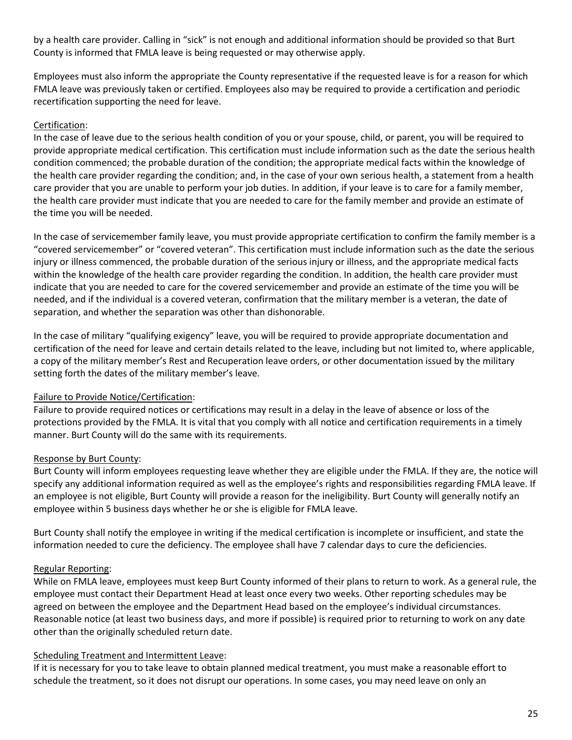by a health care provider. Calling in "sick" is not enough and additional information should be provided so that Burt County is informed that FMLA leave is being requested or may otherwise apply.

Employees must also inform the appropriate the County representative if the requested leave is for a reason for which FMLA leave was previously taken or certified. Employees also may be required to provide a certification and periodic recertification supporting the need for leave.

## Certification:

In the case of leave due to the serious health condition of you or your spouse, child, or parent, you will be required to provide appropriate medical certification. This certification must include information such as the date the serious health condition commenced; the probable duration of the condition; the appropriate medical facts within the knowledge of the health care provider regarding the condition; and, in the case of your own serious health, a statement from a health care provider that you are unable to perform your job duties. In addition, if your leave is to care for a family member, the health care provider must indicate that you are needed to care for the family member and provide an estimate of the time you will be needed.

In the case of servicemember family leave, you must provide appropriate certification to confirm the family member is a "covered servicemember" or "covered veteran". This certification must include information such as the date the serious injury or illness commenced, the probable duration of the serious injury or illness, and the appropriate medical facts within the knowledge of the health care provider regarding the condition. In addition, the health care provider must indicate that you are needed to care for the covered servicemember and provide an estimate of the time you will be needed, and if the individual is a covered veteran, confirmation that the military member is a veteran, the date of separation, and whether the separation was other than dishonorable.

In the case of military "qualifying exigency" leave, you will be required to provide appropriate documentation and certification of the need for leave and certain details related to the leave, including but not limited to, where applicable, a copy of the military member's Rest and Recuperation leave orders, or other documentation issued by the military setting forth the dates of the military member's leave.

## Failure to Provide Notice/Certification:

Failure to provide required notices or certifications may result in a delay in the leave of absence or loss of the protections provided by the FMLA. It is vital that you comply with all notice and certification requirements in a timely manner. Burt County will do the same with its requirements.

## Response by Burt County:

Burt County will inform employees requesting leave whether they are eligible under the FMLA. If they are, the notice will specify any additional information required as well as the employee's rights and responsibilities regarding FMLA leave. If an employee is not eligible, Burt County will provide a reason for the ineligibility. Burt County will generally notify an employee within 5 business days whether he or she is eligible for FMLA leave.

Burt County shall notify the employee in writing if the medical certification is incomplete or insufficient, and state the information needed to cure the deficiency. The employee shall have 7 calendar days to cure the deficiencies.

## Regular Reporting:

While on FMLA leave, employees must keep Burt County informed of their plans to return to work. As a general rule, the employee must contact their Department Head at least once every two weeks. Other reporting schedules may be agreed on between the employee and the Department Head based on the employee's individual circumstances. Reasonable notice (at least two business days, and more if possible) is required prior to returning to work on any date other than the originally scheduled return date.

## Scheduling Treatment and Intermittent Leave:

If it is necessary for you to take leave to obtain planned medical treatment, you must make a reasonable effort to schedule the treatment, so it does not disrupt our operations. In some cases, you may need leave on only an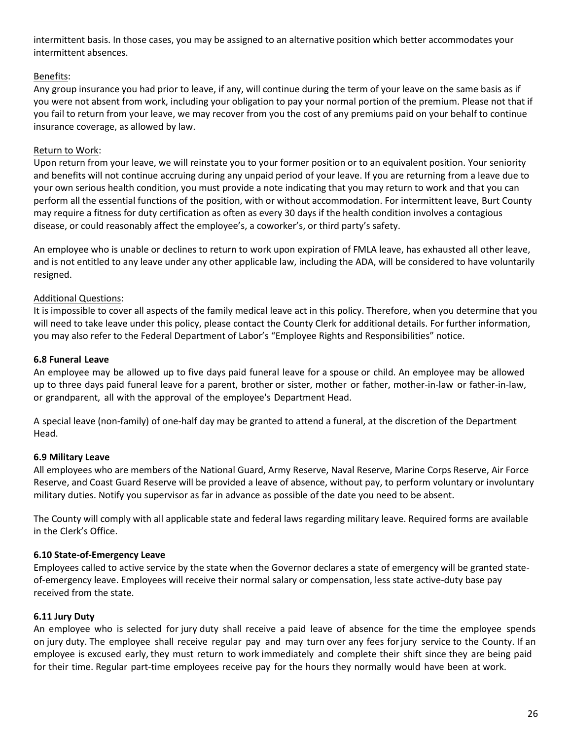intermittent basis. In those cases, you may be assigned to an alternative position which better accommodates your intermittent absences.

## Benefits:

Any group insurance you had prior to leave, if any, will continue during the term of your leave on the same basis as if you were not absent from work, including your obligation to pay your normal portion of the premium. Please not that if you fail to return from your leave, we may recover from you the cost of any premiums paid on your behalf to continue insurance coverage, as allowed by law.

## Return to Work:

Upon return from your leave, we will reinstate you to your former position or to an equivalent position. Your seniority and benefits will not continue accruing during any unpaid period of your leave. If you are returning from a leave due to your own serious health condition, you must provide a note indicating that you may return to work and that you can perform all the essential functions of the position, with or without accommodation. For intermittent leave, Burt County may require a fitness for duty certification as often as every 30 days if the health condition involves a contagious disease, or could reasonably affect the employee's, a coworker's, or third party's safety.

An employee who is unable or declines to return to work upon expiration of FMLA leave, has exhausted all other leave, and is not entitled to any leave under any other applicable law, including the ADA, will be considered to have voluntarily resigned.

## Additional Questions:

It is impossible to cover all aspects of the family medical leave act in this policy. Therefore, when you determine that you will need to take leave under this policy, please contact the County Clerk for additional details. For further information, you may also refer to the Federal Department of Labor's "Employee Rights and Responsibilities" notice.

## <span id="page-26-0"></span>**6.8 Funeral Leave**

An employee may be allowed up to five days paid funeral leave for a spouse or child. An employee may be allowed up to three days paid funeral leave for a parent, brother or sister, mother or father, mother-in-law or father-in-law, or grandparent, all with the approval of the employee's Department Head.

A special leave (non-family) of one-half day may be granted to attend a funeral, at the discretion of the Department Head.

## <span id="page-26-1"></span>**6.9 Military Leave**

All employees who are members of the National Guard, Army Reserve, Naval Reserve, Marine Corps Reserve, Air Force Reserve, and Coast Guard Reserve will be provided a leave of absence, without pay, to perform voluntary or involuntary military duties. Notify you supervisor as far in advance as possible of the date you need to be absent.

The County will comply with all applicable state and federal laws regarding military leave. Required forms are available in the Clerk's Office.

## <span id="page-26-2"></span>**6.10 State-of-Emergency Leave**

Employees called to active service by the state when the Governor declares a state of emergency will be granted stateof-emergency leave. Employees will receive their normal salary or compensation, less state active-duty base pay received from the state.

## <span id="page-26-3"></span>**6.11 Jury Duty**

An employee who is selected for jury duty shall receive a paid leave of absence for the time the employee spends on jury duty. The employee shall receive regular pay and may turn over any fees forjury service to the County. If an employee is excused early, they must return to work immediately and complete their shift since they are being paid for their time. Regular part-time employees receive pay for the hours they normally would have been at work.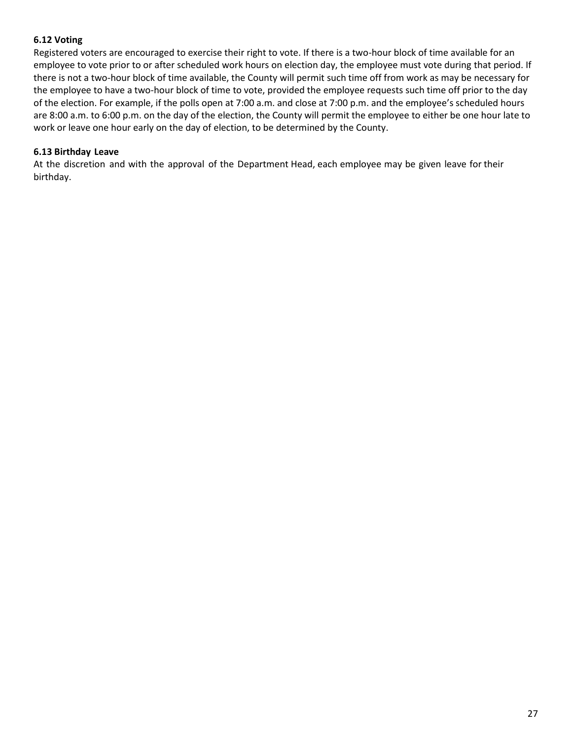## <span id="page-27-0"></span>**6.12 Voting**

Registered voters are encouraged to exercise their right to vote. If there is a two-hour block of time available for an employee to vote prior to or after scheduled work hours on election day, the employee must vote during that period. If there is not a two-hour block of time available, the County will permit such time off from work as may be necessary for the employee to have a two-hour block of time to vote, provided the employee requests such time off prior to the day of the election. For example, if the polls open at 7:00 a.m. and close at 7:00 p.m. and the employee's scheduled hours are 8:00 a.m. to 6:00 p.m. on the day of the election, the County will permit the employee to either be one hour late to work or leave one hour early on the day of election, to be determined by the County.

## <span id="page-27-1"></span>**6.13 Birthday Leave**

At the discretion and with the approval of the Department Head, each employee may be given leave for their birthday.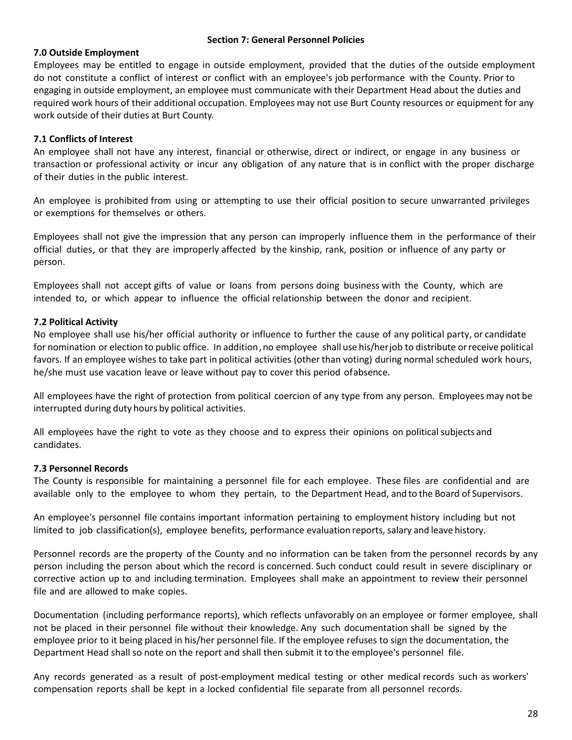#### **Section 7: General Personnel Policies**

#### <span id="page-28-1"></span><span id="page-28-0"></span>**7.0 Outside Employment**

Employees may be entitled to engage in outside employment, provided that the duties of the outside employment do not constitute a conflict of interest or conflict with an employee's job performance with the County. Prior to engaging in outside employment, an employee must communicate with their Department Head about the duties and required work hours of their additional occupation. Employees may not use Burt County resources or equipment for any work outside of their duties at Burt County.

#### <span id="page-28-2"></span>**7.1 Conflicts of Interest**

An employee shall not have any interest, financial or otherwise, direct or indirect, or engage in any business or transaction or professional activity or incur any obligation of any nature that is in conflict with the proper discharge of their duties in the public interest.

An employee is prohibited from using or attempting to use their official position to secure unwarranted privileges or exemptions for themselves or others.

Employees shall not give the impression that any person can improperly influence them in the performance of their official duties, or that they are improperly affected by the kinship, rank, position or influence of any party or person.

Employees shall not accept gifts of value or loans from persons doing business with the County, which are intended to, or which appear to influence the official relationship between the donor and recipient.

#### <span id="page-28-3"></span>**7.2 Political Activity**

No employee shall use his/her official authority or influence to further the cause of any political party, or candidate for nomination or election to public office. In addition, no employee shall use his/herjob to distribute or receive political favors. If an employee wishes to take part in political activities (other than voting) during normal scheduled work hours, he/she must use vacation leave or leave without pay to cover this period ofabsence.

All employees have the right of protection from political coercion of any type from any person. Employees may not be interrupted during duty hours by political activities.

All employees have the right to vote as they choose and to express their opinions on politicalsubjects and candidates.

#### <span id="page-28-4"></span>**7.3 Personnel Records**

The County is responsible for maintaining a personnel file for each employee. These files are confidential and are available only to the employee to whom they pertain, to the Department Head, and to the Board of Supervisors.

An employee's personnel file contains important information pertaining to employment history including but not limited to job classification(s), employee benefits, performance evaluation reports, salary and leave history.

Personnel records are the property of the County and no information can be taken from the personnel records by any person including the person about which the record is concerned. Such conduct could result in severe disciplinary or corrective action up to and including termination. Employees shall make an appointment to review their personnel file and are allowed to make copies.

Documentation (including performance reports), which reflects unfavorably on an employee or former employee, shall not be placed in their personnel file without their knowledge. Any such documentation shall be signed by the employee prior to it being placed in his/her personnel file. If the employee refuses to sign the documentation, the Department Head shall so note on the report and shall then submit it to the employee's personnel file.

Any records generated as a result of post-employment medical testing or other medical records such as workers' compensation reports shall be kept in a locked confidential file separate from all personnel records.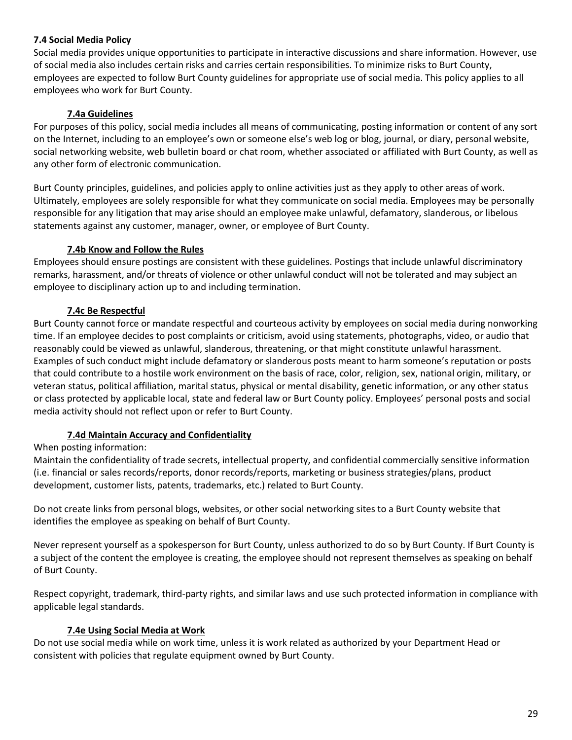## <span id="page-29-0"></span>**7.4 Social Media Policy**

Social media provides unique opportunities to participate in interactive discussions and share information. However, use of social media also includes certain risks and carries certain responsibilities. To minimize risks to Burt County, employees are expected to follow Burt County guidelines for appropriate use of social media. This policy applies to all employees who work for Burt County.

## **7.4a Guidelines**

<span id="page-29-1"></span>For purposes of this policy, social media includes all means of communicating, posting information or content of any sort on the Internet, including to an employee's own or someone else's web log or blog, journal, or diary, personal website, social networking website, web bulletin board or chat room, whether associated or affiliated with Burt County, as well as any other form of electronic communication.

Burt County principles, guidelines, and policies apply to online activities just as they apply to other areas of work. Ultimately, employees are solely responsible for what they communicate on social media. Employees may be personally responsible for any litigation that may arise should an employee make unlawful, defamatory, slanderous, or libelous statements against any customer, manager, owner, or employee of Burt County.

#### **7.4b Know and Follow the Rules**

<span id="page-29-2"></span>Employees should ensure postings are consistent with these guidelines. Postings that include unlawful discriminatory remarks, harassment, and/or threats of violence or other unlawful conduct will not be tolerated and may subject an employee to disciplinary action up to and including termination.

#### **7.4c Be Respectful**

<span id="page-29-3"></span>Burt County cannot force or mandate respectful and courteous activity by employees on social media during nonworking time. If an employee decides to post complaints or criticism, avoid using statements, photographs, video, or audio that reasonably could be viewed as unlawful, slanderous, threatening, or that might constitute unlawful harassment. Examples of such conduct might include defamatory or slanderous posts meant to harm someone's reputation or posts that could contribute to a hostile work environment on the basis of race, color, religion, sex, national origin, military, or veteran status, political affiliation, marital status, physical or mental disability, genetic information, or any other status or class protected by applicable local, state and federal law or Burt County policy. Employees' personal posts and social media activity should not reflect upon or refer to Burt County.

#### **7.4d Maintain Accuracy and Confidentiality**

<span id="page-29-4"></span>When posting information:

Maintain the confidentiality of trade secrets, intellectual property, and confidential commercially sensitive information (i.e. financial or sales records/reports, donor records/reports, marketing or business strategies/plans, product development, customer lists, patents, trademarks, etc.) related to Burt County.

Do not create links from personal blogs, websites, or other social networking sites to a Burt County website that identifies the employee as speaking on behalf of Burt County.

Never represent yourself as a spokesperson for Burt County, unless authorized to do so by Burt County. If Burt County is a subject of the content the employee is creating, the employee should not represent themselves as speaking on behalf of Burt County.

Respect copyright, trademark, third-party rights, and similar laws and use such protected information in compliance with applicable legal standards.

#### **7.4e Using Social Media at Work**

<span id="page-29-5"></span>Do not use social media while on work time, unless it is work related as authorized by your Department Head or consistent with policies that regulate equipment owned by Burt County.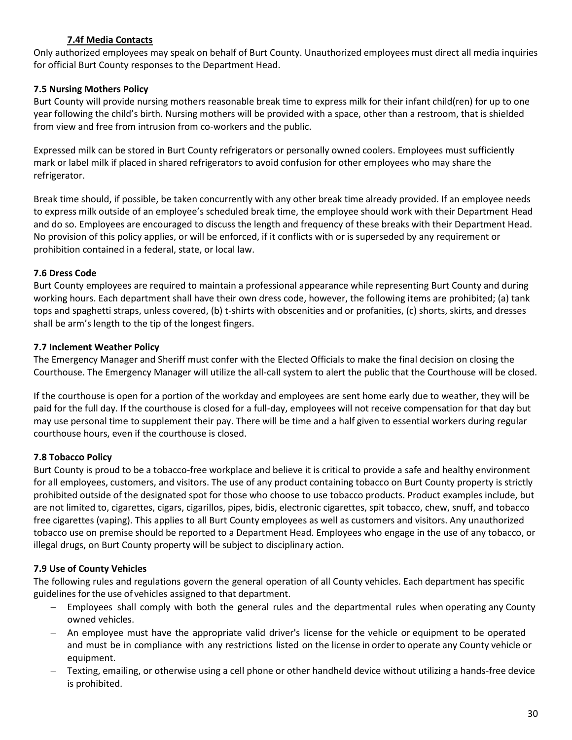## **7.4f Media Contacts**

<span id="page-30-0"></span>Only authorized employees may speak on behalf of Burt County. Unauthorized employees must direct all media inquiries for official Burt County responses to the Department Head.

## <span id="page-30-1"></span>**7.5 Nursing Mothers Policy**

Burt County will provide nursing mothers reasonable break time to express milk for their infant child(ren) for up to one year following the child's birth. Nursing mothers will be provided with a space, other than a restroom, that is shielded from view and free from intrusion from co-workers and the public.

Expressed milk can be stored in Burt County refrigerators or personally owned coolers. Employees must sufficiently mark or label milk if placed in shared refrigerators to avoid confusion for other employees who may share the refrigerator.

Break time should, if possible, be taken concurrently with any other break time already provided. If an employee needs to express milk outside of an employee's scheduled break time, the employee should work with their Department Head and do so. Employees are encouraged to discuss the length and frequency of these breaks with their Department Head. No provision of this policy applies, or will be enforced, if it conflicts with or is superseded by any requirement or prohibition contained in a federal, state, or local law.

## <span id="page-30-2"></span>**7.6 Dress Code**

Burt County employees are required to maintain a professional appearance while representing Burt County and during working hours. Each department shall have their own dress code, however, the following items are prohibited; (a) tank tops and spaghetti straps, unless covered, (b) t-shirts with obscenities and or profanities, (c) shorts, skirts, and dresses shall be arm's length to the tip of the longest fingers.

## <span id="page-30-3"></span>**7.7 Inclement Weather Policy**

The Emergency Manager and Sheriff must confer with the Elected Officials to make the final decision on closing the Courthouse. The Emergency Manager will utilize the all-call system to alert the public that the Courthouse will be closed.

If the courthouse is open for a portion of the workday and employees are sent home early due to weather, they will be paid for the full day. If the courthouse is closed for a full-day, employees will not receive compensation for that day but may use personal time to supplement their pay. There will be time and a half given to essential workers during regular courthouse hours, even if the courthouse is closed.

## <span id="page-30-4"></span>**7.8 Tobacco Policy**

Burt County is proud to be a tobacco-free workplace and believe it is critical to provide a safe and healthy environment for all employees, customers, and visitors. The use of any product containing tobacco on Burt County property is strictly prohibited outside of the designated spot for those who choose to use tobacco products. Product examples include, but are not limited to, cigarettes, cigars, cigarillos, pipes, bidis, electronic cigarettes, spit tobacco, chew, snuff, and tobacco free cigarettes (vaping). This applies to all Burt County employees as well as customers and visitors. Any unauthorized tobacco use on premise should be reported to a Department Head. Employees who engage in the use of any tobacco, or illegal drugs, on Burt County property will be subject to disciplinary action.

## <span id="page-30-5"></span>**7.9 Use of County Vehicles**

The following rules and regulations govern the general operation of all County vehicles. Each department has specific guidelines forthe use of vehicles assigned to that department.

- Employees shall comply with both the general rules and the departmental rules when operating any County owned vehicles.
- − An employee must have the appropriate valid driver's license for the vehicle or equipment to be operated and must be in compliance with any restrictions listed on the license in orderto operate any County vehicle or equipment.
- − Texting, emailing, or otherwise using a cell phone or other handheld device without utilizing a hands-free device is prohibited.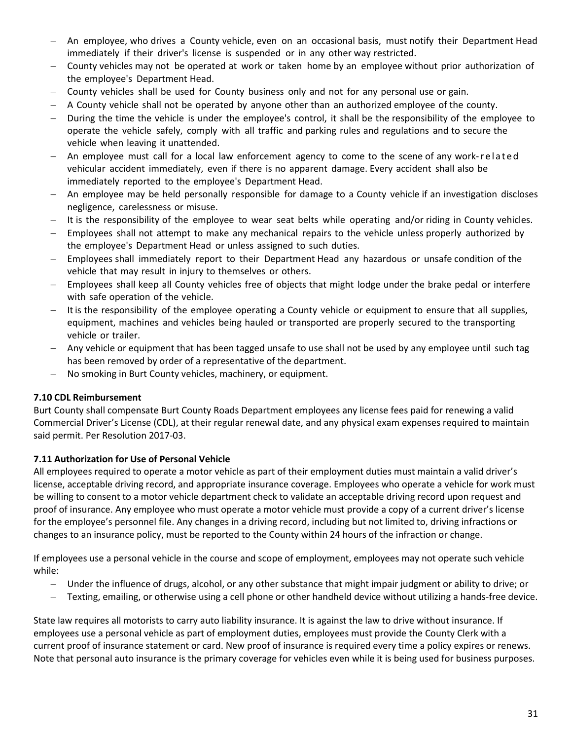- An employee, who drives a County vehicle, even on an occasional basis, must notify their Department Head immediately if their driver's license is suspended or in any other way restricted.
- − County vehicles may not be operated at work or taken home by an employee without prior authorization of the employee's Department Head.
- − County vehicles shall be used for County business only and not for any personal use or gain.
- − A County vehicle shall not be operated by anyone other than an authorized employee of the county.
- − During the time the vehicle is under the employee's control, it shall be the responsibility of the employee to operate the vehicle safely, comply with all traffic and parking rules and regulations and to secure the vehicle when leaving it unattended.
- An employee must call for a local law enforcement agency to come to the scene of any work-r e lated vehicular accident immediately, even if there is no apparent damage. Every accident shall also be immediately reported to the employee's Department Head.
- An employee may be held personally responsible for damage to a County vehicle if an investigation discloses negligence, carelessness or misuse.
- It is the responsibility of the employee to wear seat belts while operating and/or riding in County vehicles.
- Employees shall not attempt to make any mechanical repairs to the vehicle unless properly authorized by the employee's Department Head or unless assigned to such duties.
- Employees shall immediately report to their Department Head any hazardous or unsafe condition of the vehicle that may result in injury to themselves or others.
- Employees shall keep all County vehicles free of objects that might lodge under the brake pedal or interfere with safe operation of the vehicle.
- − Itis the responsibility of the employee operating a County vehicle or equipment to ensure that all supplies, equipment, machines and vehicles being hauled or transported are properly secured to the transporting vehicle or trailer.
- Any vehicle or equipment that has been tagged unsafe to use shall not be used by any employee until such tag has been removed by order of a representative of the department.
- No smoking in Burt County vehicles, machinery, or equipment.

#### <span id="page-31-0"></span>**7.10 CDL Reimbursement**

Burt County shall compensate Burt County Roads Department employees any license fees paid for renewing a valid Commercial Driver's License (CDL), at their regular renewal date, and any physical exam expenses required to maintain said permit. Per Resolution 2017-03.

## <span id="page-31-1"></span>**7.11 Authorization for Use of Personal Vehicle**

All employees required to operate a motor vehicle as part of their employment duties must maintain a valid driver's license, acceptable driving record, and appropriate insurance coverage. Employees who operate a vehicle for work must be willing to consent to a motor vehicle department check to validate an acceptable driving record upon request and proof of insurance. Any employee who must operate a motor vehicle must provide a copy of a current driver's license for the employee's personnel file. Any changes in a driving record, including but not limited to, driving infractions or changes to an insurance policy, must be reported to the County within 24 hours of the infraction or change.

If employees use a personal vehicle in the course and scope of employment, employees may not operate such vehicle while:

- − Under the influence of drugs, alcohol, or any other substance that might impair judgment or ability to drive; or
- − Texting, emailing, or otherwise using a cell phone or other handheld device without utilizing a hands-free device.

State law requires all motorists to carry auto liability insurance. It is against the law to drive without insurance. If employees use a personal vehicle as part of employment duties, employees must provide the County Clerk with a current proof of insurance statement or card. New proof of insurance is required every time a policy expires or renews. Note that personal auto insurance is the primary coverage for vehicles even while it is being used for business purposes.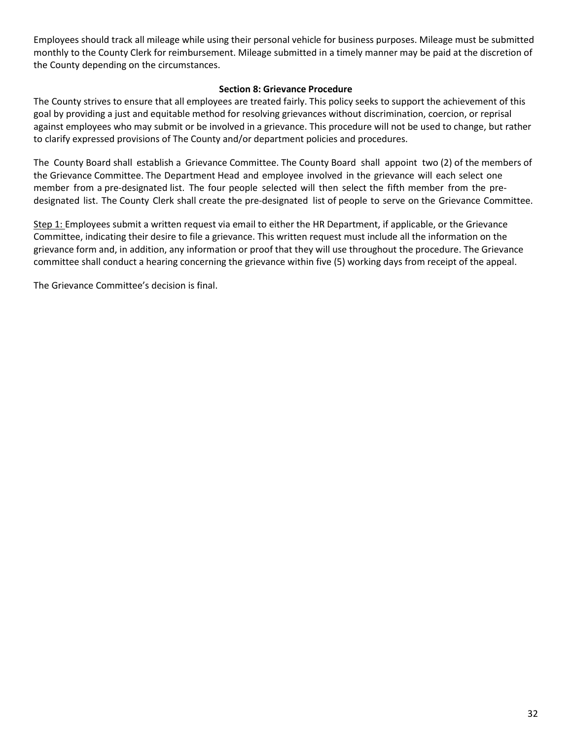Employees should track all mileage while using their personal vehicle for business purposes. Mileage must be submitted monthly to the County Clerk for reimbursement. Mileage submitted in a timely manner may be paid at the discretion of the County depending on the circumstances.

#### **Section 8: Grievance Procedure**

<span id="page-32-0"></span>The County strives to ensure that all employees are treated fairly. This policy seeks to support the achievement of this goal by providing a just and equitable method for resolving grievances without discrimination, coercion, or reprisal against employees who may submit or be involved in a grievance. This procedure will not be used to change, but rather to clarify expressed provisions of The County and/or department policies and procedures.

The County Board shall establish a Grievance Committee. The County Board shall appoint two (2) of the members of the Grievance Committee. The Department Head and employee involved in the grievance will each select one member from a pre-designated list. The four people selected will then select the fifth member from the predesignated list. The County Clerk shall create the pre-designated list of people to serve on the Grievance Committee.

Step 1: Employees submit a written request via email to either the HR Department, if applicable, or the Grievance Committee, indicating their desire to file a grievance. This written request must include all the information on the grievance form and, in addition, any information or proof that they will use throughout the procedure. The Grievance committee shall conduct a hearing concerning the grievance within five (5) working days from receipt of the appeal.

The Grievance Committee's decision is final.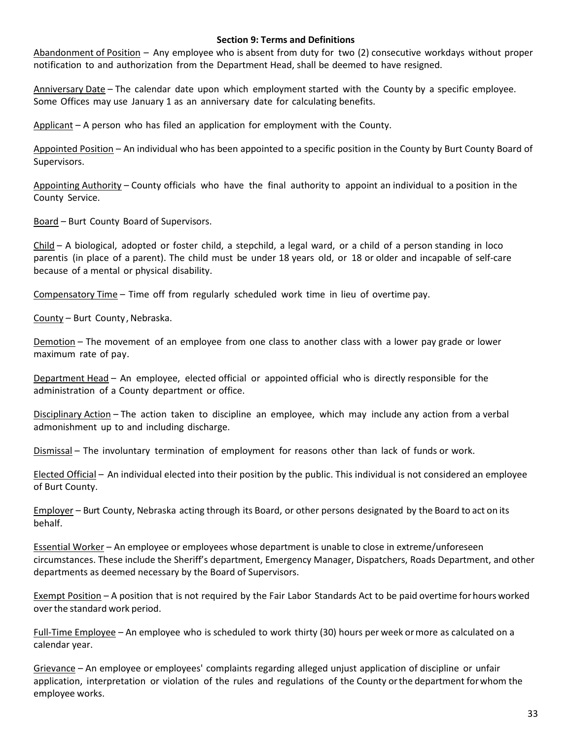#### **Section 9: Terms and Definitions**

<span id="page-33-0"></span>Abandonment of Position – Any employee who is absent from duty for two (2) consecutive workdays without proper notification to and authorization from the Department Head, shall be deemed to have resigned.

Anniversary Date – The calendar date upon which employment started with the County by a specific employee. Some Offices may use January 1 as an anniversary date for calculating benefits.

Applicant – A person who has filed an application for employment with the County.

Appointed Position – An individual who has been appointed to a specific position in the County by Burt County Board of Supervisors.

Appointing Authority – County officials who have the final authority to appoint an individual to a position in the County Service.

Board – Burt County Board of Supervisors.

Child – A biological, adopted or foster child, a stepchild, a legal ward, or a child of a person standing in loco parentis (in place of a parent). The child must be under 18 years old, or 18 or older and incapable of self-care because of a mental or physical disability.

Compensatory Time – Time off from regularly scheduled work time in lieu of overtime pay.

County – Burt County, Nebraska.

Demotion – The movement of an employee from one class to another class with a lower pay grade or lower maximum rate of pay.

Department Head – An employee, elected official or appointed official who is directly responsible for the administration of a County department or office.

Disciplinary Action – The action taken to discipline an employee, which may include any action from a verbal admonishment up to and including discharge.

Dismissal – The involuntary termination of employment for reasons other than lack of funds or work.

Elected Official – An individual elected into their position by the public. This individual is not considered an employee of Burt County.

Employer – Burt County, Nebraska acting through its Board, or other persons designated by the Board to act on its behalf.

Essential Worker – An employee or employees whose department is unable to close in extreme/unforeseen circumstances. These include the Sheriff's department, Emergency Manager, Dispatchers, Roads Department, and other departments as deemed necessary by the Board of Supervisors.

Exempt Position – A position that is not required by the Fair Labor Standards Act to be paid overtime forhours worked overthe standard work period.

Full-Time Employee – An employee who is scheduled to work thirty (30) hours per week ormore as calculated on a calendar year.

Grievance – An employee or employees' complaints regarding alleged unjust application of discipline or unfair application, interpretation or violation of the rules and regulations of the County orthe department forwhom the employee works.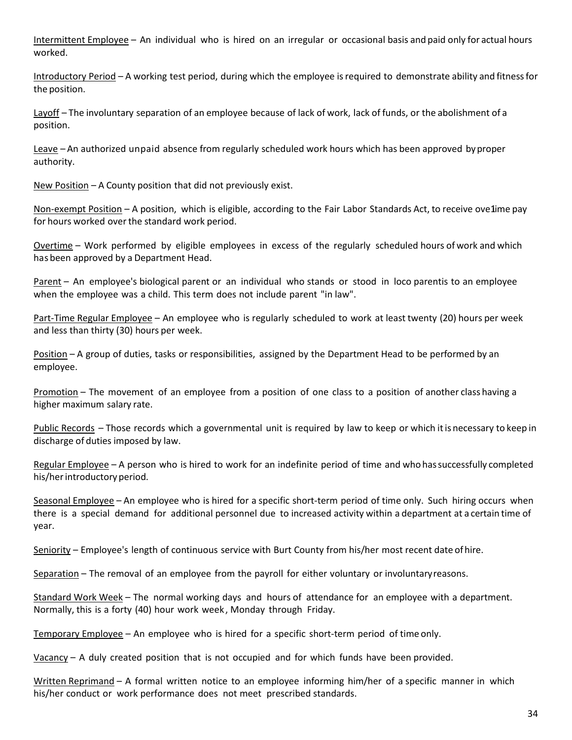Intermittent Employee – An individual who is hired on an irregular or occasional basis and paid only for actual hours worked.

Introductory Period – A working test period, during which the employee is required to demonstrate ability and fitness for the position.

Layoff – The involuntary separation of an employee because of lack of work, lack of funds, or the abolishment of a position.

Leave – An authorized unpaid absence from regularly scheduled work hours which has been approved by proper authority.

New Position – A County position that did not previously exist.

Non-exempt Position – A position, which is eligible, according to the Fair Labor Standards Act, to receive ove1ime pay for hours worked over the standard work period.

Overtime – Work performed by eligible employees in excess of the regularly scheduled hours of work and which hasbeen approved by a Department Head.

Parent – An employee's biological parent or an individual who stands or stood in loco parentis to an employee when the employee was a child. This term does not include parent "in law".

Part-Time Regular Employee – An employee who is regularly scheduled to work at least twenty (20) hours per week and less than thirty (30) hours per week.

Position – A group of duties, tasks or responsibilities, assigned by the Department Head to be performed by an employee.

Promotion – The movement of an employee from a position of one class to a position of another class having a higher maximum salary rate.

Public Records – Those records which a governmental unit is required by law to keep or which it is necessary to keep in discharge of duties imposed by law.

Regular Employee – A person who is hired to work for an indefinite period of time and who hassuccessfully completed his/herintroductory period.

Seasonal Employee – An employee who is hired for a specific short-term period of time only. Such hiring occurs when there is a special demand for additional personnel due to increased activity within a department at a certain time of year.

Seniority – Employee's length of continuous service with Burt County from his/her most recent date ofhire.

Separation – The removal of an employee from the payroll for either voluntary or involuntaryreasons.

Standard Work Week – The normal working days and hours of attendance for an employee with a department. Normally, this is a forty (40) hour work week , Monday through Friday.

Temporary Employee – An employee who is hired for a specific short-term period of time only.

Vacancy – A duly created position that is not occupied and for which funds have been provided.

Written Reprimand – A formal written notice to an employee informing him/her of a specific manner in which his/her conduct or work performance does not meet prescribed standards.